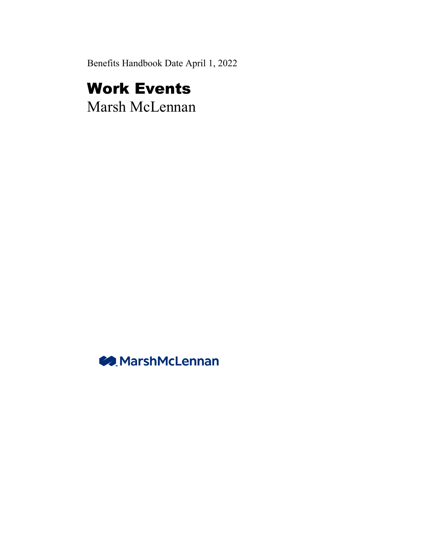Benefits Handbook Date April 1, 2022

# Work Events

Marsh McLennan

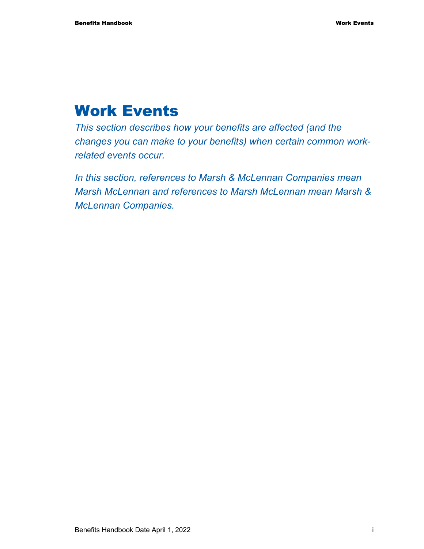## Work Events

*This section describes how your benefits are affected (and the changes you can make to your benefits) when certain common workrelated events occur.* 

*In this section, references to Marsh & McLennan Companies mean Marsh McLennan and references to Marsh McLennan mean Marsh & McLennan Companies.*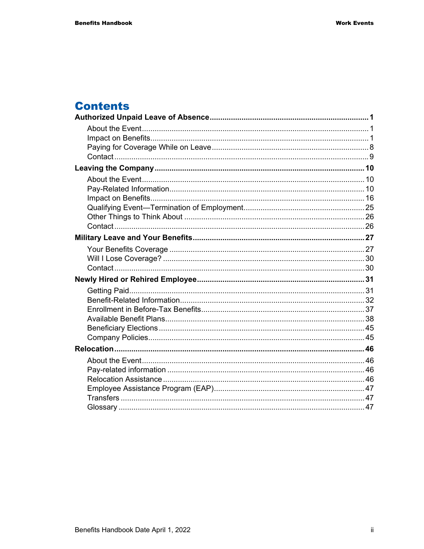## **Contents**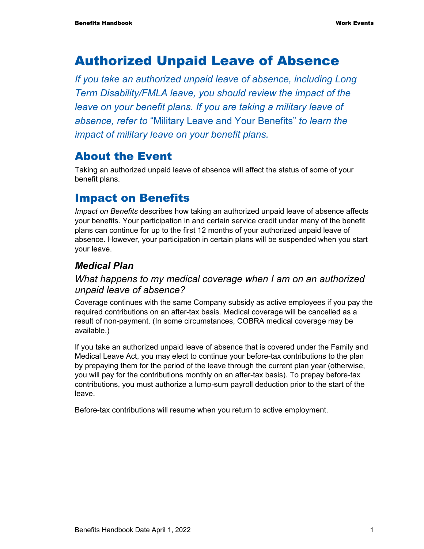## Authorized Unpaid Leave of Absence

*If you take an authorized unpaid leave of absence, including Long Term Disability/FMLA leave, you should review the impact of the leave on your benefit plans. If you are taking a military leave of absence, refer to* "Military Leave and Your Benefits" *to learn the impact of military leave on your benefit plans.* 

## About the Event

Taking an authorized unpaid leave of absence will affect the status of some of your benefit plans.

## Impact on Benefits

*Impact on Benefits* describes how taking an authorized unpaid leave of absence affects your benefits. Your participation in and certain service credit under many of the benefit plans can continue for up to the first 12 months of your authorized unpaid leave of absence. However, your participation in certain plans will be suspended when you start your leave.

### *Medical Plan*

#### *What happens to my medical coverage when I am on an authorized unpaid leave of absence?*

Coverage continues with the same Company subsidy as active employees if you pay the required contributions on an after-tax basis. Medical coverage will be cancelled as a result of non-payment. (In some circumstances, COBRA medical coverage may be available.)

If you take an authorized unpaid leave of absence that is covered under the Family and Medical Leave Act, you may elect to continue your before-tax contributions to the plan by prepaying them for the period of the leave through the current plan year (otherwise, you will pay for the contributions monthly on an after-tax basis). To prepay before-tax contributions, you must authorize a lump-sum payroll deduction prior to the start of the leave.

Before-tax contributions will resume when you return to active employment.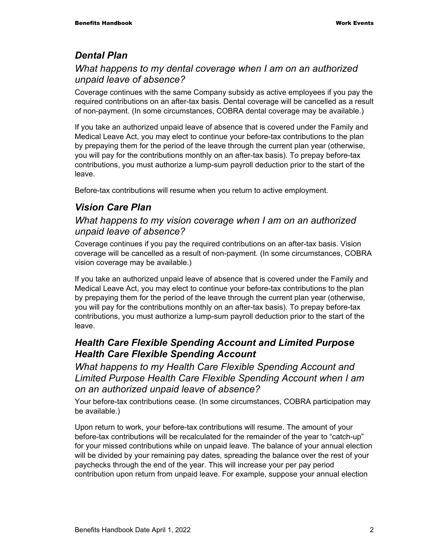### *Dental Plan*

#### *What happens to my dental coverage when I am on an authorized unpaid leave of absence?*

Coverage continues with the same Company subsidy as active employees if you pay the required contributions on an after-tax basis. Dental coverage will be cancelled as a result of non-payment. (In some circumstances, COBRA dental coverage may be available.)

If you take an authorized unpaid leave of absence that is covered under the Family and Medical Leave Act, you may elect to continue your before-tax contributions to the plan by prepaying them for the period of the leave through the current plan year (otherwise, you will pay for the contributions monthly on an after-tax basis). To prepay before-tax contributions, you must authorize a lump-sum payroll deduction prior to the start of the leave.

Before-tax contributions will resume when you return to active employment.

### *Vision Care Plan*

#### *What happens to my vision coverage when I am on an authorized unpaid leave of absence?*

Coverage continues if you pay the required contributions on an after-tax basis. Vision coverage will be cancelled as a result of non-payment. (In some circumstances, COBRA vision coverage may be available.)

If you take an authorized unpaid leave of absence that is covered under the Family and Medical Leave Act, you may elect to continue your before-tax contributions to the plan by prepaying them for the period of the leave through the current plan year (otherwise, you will pay for the contributions monthly on an after-tax basis). To prepay before-tax contributions, you must authorize a lump-sum payroll deduction prior to the start of the leave.

#### *Health Care Flexible Spending Account and Limited Purpose Health Care Flexible Spending Account*

*What happens to my Health Care Flexible Spending Account and Limited Purpose Health Care Flexible Spending Account when I am on an authorized unpaid leave of absence?* 

Your before-tax contributions cease. (In some circumstances, COBRA participation may be available.)

Upon return to work, your before-tax contributions will resume. The amount of your before-tax contributions will be recalculated for the remainder of the year to "catch-up" for your missed contributions while on unpaid leave. The balance of your annual election will be divided by your remaining pay dates, spreading the balance over the rest of your paychecks through the end of the year. This will increase your per pay period contribution upon return from unpaid leave. For example, suppose your annual election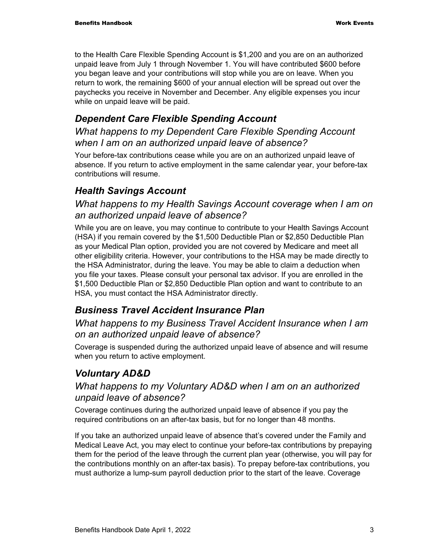to the Health Care Flexible Spending Account is \$1,200 and you are on an authorized unpaid leave from July 1 through November 1. You will have contributed \$600 before you began leave and your contributions will stop while you are on leave. When you return to work, the remaining \$600 of your annual election will be spread out over the paychecks you receive in November and December. Any eligible expenses you incur while on unpaid leave will be paid.

### *Dependent Care Flexible Spending Account*

*What happens to my Dependent Care Flexible Spending Account when I am on an authorized unpaid leave of absence?* 

Your before-tax contributions cease while you are on an authorized unpaid leave of absence. If you return to active employment in the same calendar year, your before-tax contributions will resume.

### *Health Savings Account*

#### *What happens to my Health Savings Account coverage when I am on an authorized unpaid leave of absence?*

While you are on leave, you may continue to contribute to your Health Savings Account (HSA) if you remain covered by the \$1,500 Deductible Plan or \$2,850 Deductible Plan as your Medical Plan option, provided you are not covered by Medicare and meet all other eligibility criteria. However, your contributions to the HSA may be made directly to the HSA Administrator, during the leave. You may be able to claim a deduction when you file your taxes. Please consult your personal tax advisor. If you are enrolled in the \$1,500 Deductible Plan or \$2,850 Deductible Plan option and want to contribute to an HSA, you must contact the HSA Administrator directly.

### *Business Travel Accident Insurance Plan*

#### *What happens to my Business Travel Accident Insurance when I am on an authorized unpaid leave of absence?*

Coverage is suspended during the authorized unpaid leave of absence and will resume when you return to active employment.

### *Voluntary AD&D*

#### *What happens to my Voluntary AD&D when I am on an authorized unpaid leave of absence?*

Coverage continues during the authorized unpaid leave of absence if you pay the required contributions on an after-tax basis, but for no longer than 48 months.

If you take an authorized unpaid leave of absence that's covered under the Family and Medical Leave Act, you may elect to continue your before-tax contributions by prepaying them for the period of the leave through the current plan year (otherwise, you will pay for the contributions monthly on an after-tax basis). To prepay before-tax contributions, you must authorize a lump-sum payroll deduction prior to the start of the leave. Coverage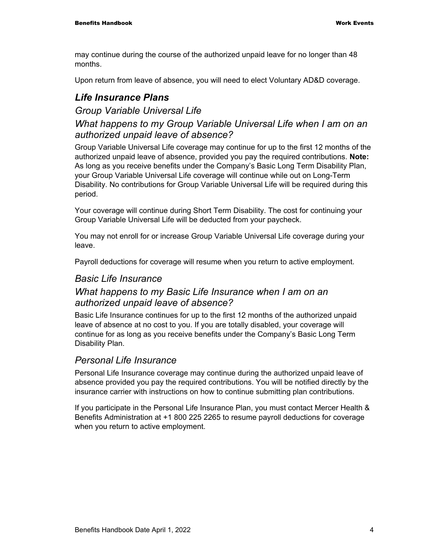may continue during the course of the authorized unpaid leave for no longer than 48 months.

Upon return from leave of absence, you will need to elect Voluntary AD&D coverage.

#### *Life Insurance Plans*

#### *Group Variable Universal Life*

#### *What happens to my Group Variable Universal Life when I am on an authorized unpaid leave of absence?*

Group Variable Universal Life coverage may continue for up to the first 12 months of the authorized unpaid leave of absence, provided you pay the required contributions. **Note:**  As long as you receive benefits under the Company's Basic Long Term Disability Plan, your Group Variable Universal Life coverage will continue while out on Long-Term Disability. No contributions for Group Variable Universal Life will be required during this period.

Your coverage will continue during Short Term Disability. The cost for continuing your Group Variable Universal Life will be deducted from your paycheck.

You may not enroll for or increase Group Variable Universal Life coverage during your leave.

Payroll deductions for coverage will resume when you return to active employment.

#### *Basic Life Insurance*

#### *What happens to my Basic Life Insurance when I am on an authorized unpaid leave of absence?*

Basic Life Insurance continues for up to the first 12 months of the authorized unpaid leave of absence at no cost to you. If you are totally disabled, your coverage will continue for as long as you receive benefits under the Company's Basic Long Term Disability Plan.

#### *Personal Life Insurance*

Personal Life Insurance coverage may continue during the authorized unpaid leave of absence provided you pay the required contributions. You will be notified directly by the insurance carrier with instructions on how to continue submitting plan contributions.

If you participate in the Personal Life Insurance Plan, you must contact Mercer Health & Benefits Administration at +1 800 225 2265 to resume payroll deductions for coverage when you return to active employment.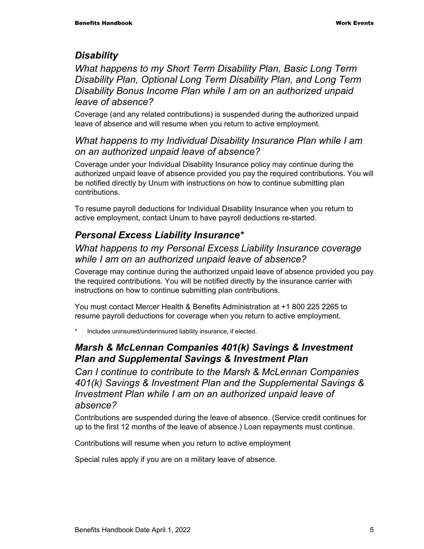#### *Disability*

*What happens to my Short Term Disability Plan, Basic Long Term Disability Plan, Optional Long Term Disability Plan, and Long Term Disability Bonus Income Plan while I am on an authorized unpaid leave of absence?* 

Coverage (and any related contributions) is suspended during the authorized unpaid leave of absence and will resume when you return to active employment.

#### *What happens to my Individual Disability Insurance Plan while I am on an authorized unpaid leave of absence?*

Coverage under your Individual Disability Insurance policy may continue during the authorized unpaid leave of absence provided you pay the required contributions. You will be notified directly by Unum with instructions on how to continue submitting plan contributions.

To resume payroll deductions for Individual Disability Insurance when you return to active employment, contact Unum to have payroll deductions re-started.

### *Personal Excess Liability Insurance\**

#### *What happens to my Personal Excess Liability Insurance coverage while I am on an authorized unpaid leave of absence?*

Coverage may continue during the authorized unpaid leave of absence provided you pay the required contributions. You will be notified directly by the insurance carrier with instructions on how to continue submitting plan contributions.

You must contact Mercer Health & Benefits Administration at +1 800 225 2265 to resume payroll deductions for coverage when you return to active employment.

Includes uninsured/underinsured liability insurance, if elected.

#### *Marsh & McLennan Companies 401(k) Savings & Investment Plan and Supplemental Savings & Investment Plan*

*Can I continue to contribute to the Marsh & McLennan Companies 401(k) Savings & Investment Plan and the Supplemental Savings & Investment Plan while I am on an authorized unpaid leave of absence?* 

Contributions are suspended during the leave of absence. (Service credit continues for up to the first 12 months of the leave of absence.) Loan repayments must continue.

Contributions will resume when you return to active employment

Special rules apply if you are on a military leave of absence.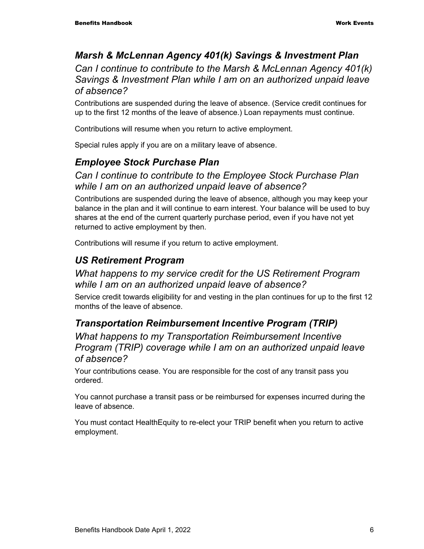#### *Marsh & McLennan Agency 401(k) Savings & Investment Plan*

*Can I continue to contribute to the Marsh & McLennan Agency 401(k) Savings & Investment Plan while I am on an authorized unpaid leave of absence?* 

Contributions are suspended during the leave of absence. (Service credit continues for up to the first 12 months of the leave of absence.) Loan repayments must continue.

Contributions will resume when you return to active employment.

Special rules apply if you are on a military leave of absence.

#### *Employee Stock Purchase Plan*

#### *Can I continue to contribute to the Employee Stock Purchase Plan while I am on an authorized unpaid leave of absence?*

Contributions are suspended during the leave of absence, although you may keep your balance in the plan and it will continue to earn interest. Your balance will be used to buy shares at the end of the current quarterly purchase period, even if you have not yet returned to active employment by then.

Contributions will resume if you return to active employment.

#### *US Retirement Program*

#### *What happens to my service credit for the US Retirement Program while I am on an authorized unpaid leave of absence?*

Service credit towards eligibility for and vesting in the plan continues for up to the first 12 months of the leave of absence.

### *Transportation Reimbursement Incentive Program (TRIP)*

*What happens to my Transportation Reimbursement Incentive Program (TRIP) coverage while I am on an authorized unpaid leave of absence?* 

Your contributions cease. You are responsible for the cost of any transit pass you ordered.

You cannot purchase a transit pass or be reimbursed for expenses incurred during the leave of absence.

You must contact HealthEquity to re-elect your TRIP benefit when you return to active employment.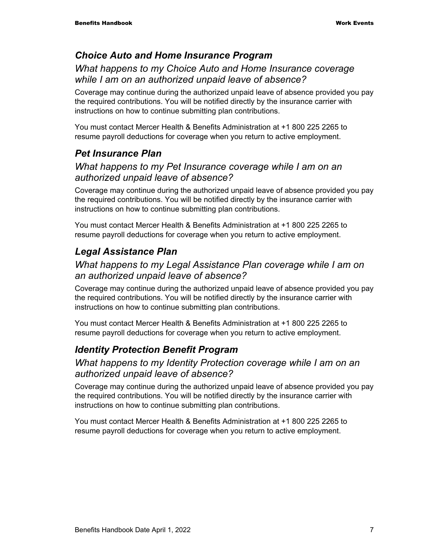#### *Choice Auto and Home Insurance Program*

#### *What happens to my Choice Auto and Home Insurance coverage while I am on an authorized unpaid leave of absence?*

Coverage may continue during the authorized unpaid leave of absence provided you pay the required contributions. You will be notified directly by the insurance carrier with instructions on how to continue submitting plan contributions.

You must contact Mercer Health & Benefits Administration at +1 800 225 2265 to resume payroll deductions for coverage when you return to active employment.

### *Pet Insurance Plan*

#### *What happens to my Pet Insurance coverage while I am on an authorized unpaid leave of absence?*

Coverage may continue during the authorized unpaid leave of absence provided you pay the required contributions. You will be notified directly by the insurance carrier with instructions on how to continue submitting plan contributions.

You must contact Mercer Health & Benefits Administration at +1 800 225 2265 to resume payroll deductions for coverage when you return to active employment.

### *Legal Assistance Plan*

#### *What happens to my Legal Assistance Plan coverage while I am on an authorized unpaid leave of absence?*

Coverage may continue during the authorized unpaid leave of absence provided you pay the required contributions. You will be notified directly by the insurance carrier with instructions on how to continue submitting plan contributions.

You must contact Mercer Health & Benefits Administration at +1 800 225 2265 to resume payroll deductions for coverage when you return to active employment.

### *Identity Protection Benefit Program*

#### *What happens to my Identity Protection coverage while I am on an authorized unpaid leave of absence?*

Coverage may continue during the authorized unpaid leave of absence provided you pay the required contributions. You will be notified directly by the insurance carrier with instructions on how to continue submitting plan contributions.

You must contact Mercer Health & Benefits Administration at +1 800 225 2265 to resume payroll deductions for coverage when you return to active employment.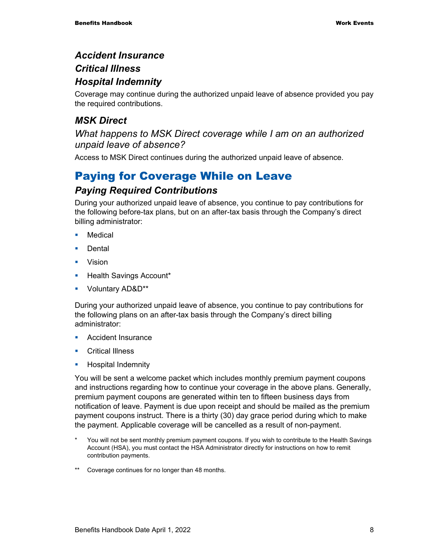#### *Accident Insurance*

#### *Critical Illness*

#### *Hospital Indemnity*

Coverage may continue during the authorized unpaid leave of absence provided you pay the required contributions.

### *MSK Direct*

#### *What happens to MSK Direct coverage while I am on an authorized unpaid leave of absence?*

Access to MSK Direct continues during the authorized unpaid leave of absence.

## Paying for Coverage While on Leave

#### *Paying Required Contributions*

During your authorized unpaid leave of absence, you continue to pay contributions for the following before-tax plans, but on an after-tax basis through the Company's direct billing administrator:

- **•** Medical
- **Dental**
- **•** Vision
- **Health Savings Account\***
- **•** Voluntary AD&D\*\*

During your authorized unpaid leave of absence, you continue to pay contributions for the following plans on an after-tax basis through the Company's direct billing administrator:

- Accident Insurance
- **Critical Illness**
- **Hospital Indemnity**

You will be sent a welcome packet which includes monthly premium payment coupons and instructions regarding how to continue your coverage in the above plans. Generally, premium payment coupons are generated within ten to fifteen business days from notification of leave. Payment is due upon receipt and should be mailed as the premium payment coupons instruct. There is a thirty (30) day grace period during which to make the payment. Applicable coverage will be cancelled as a result of non-payment.

- You will not be sent monthly premium payment coupons. If you wish to contribute to the Health Savings Account (HSA), you must contact the HSA Administrator directly for instructions on how to remit contribution payments.
- \*\* Coverage continues for no longer than 48 months.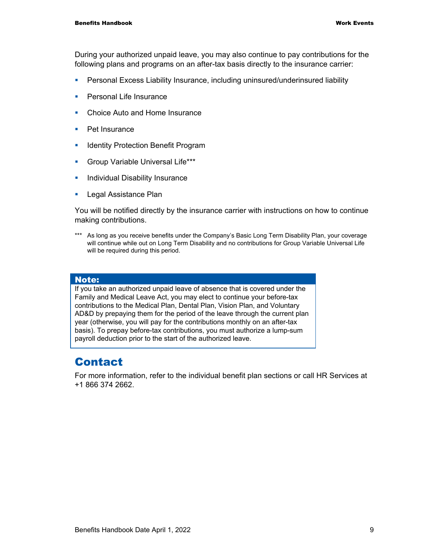During your authorized unpaid leave, you may also continue to pay contributions for the following plans and programs on an after-tax basis directly to the insurance carrier:

- Personal Excess Liability Insurance, including uninsured/underinsured liability
- **Personal Life Insurance**
- Choice Auto and Home Insurance
- Pet Insurance
- **In Identity Protection Benefit Program**
- **Group Variable Universal Life\*\*\***
- **Individual Disability Insurance**
- **Legal Assistance Plan**

You will be notified directly by the insurance carrier with instructions on how to continue making contributions.

\*\*\* As long as you receive benefits under the Company's Basic Long Term Disability Plan, your coverage will continue while out on Long Term Disability and no contributions for Group Variable Universal Life will be required during this period.

#### Note:

If you take an authorized unpaid leave of absence that is covered under the Family and Medical Leave Act, you may elect to continue your before-tax contributions to the Medical Plan, Dental Plan, Vision Plan, and Voluntary AD&D by prepaying them for the period of the leave through the current plan year (otherwise, you will pay for the contributions monthly on an after-tax basis). To prepay before-tax contributions, you must authorize a lump-sum payroll deduction prior to the start of the authorized leave.

## Contact

For more information, refer to the individual benefit plan sections or call HR Services at +1 866 374 2662.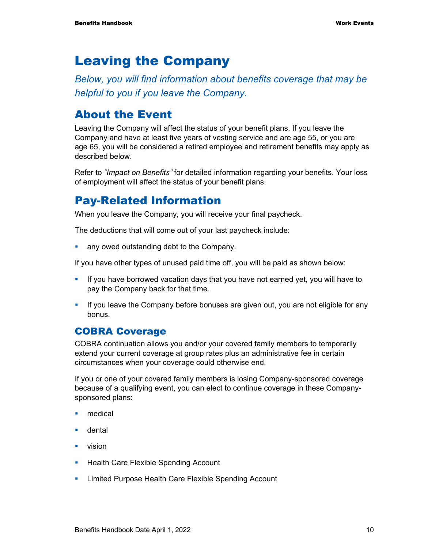## Leaving the Company

*Below, you will find information about benefits coverage that may be helpful to you if you leave the Company.* 

## About the Event

Leaving the Company will affect the status of your benefit plans. If you leave the Company and have at least five years of vesting service and are age 55, or you are age 65, you will be considered a retired employee and retirement benefits may apply as described below.

Refer to *"Impact on Benefits"* for detailed information regarding your benefits. Your loss of employment will affect the status of your benefit plans.

## Pay-Related Information

When you leave the Company, you will receive your final paycheck.

The deductions that will come out of your last paycheck include:

• any owed outstanding debt to the Company.

If you have other types of unused paid time off, you will be paid as shown below:

- If you have borrowed vacation days that you have not earned yet, you will have to pay the Company back for that time.
- **If you leave the Company before bonuses are given out, you are not eligible for any** bonus.

#### COBRA Coverage

COBRA continuation allows you and/or your covered family members to temporarily extend your current coverage at group rates plus an administrative fee in certain circumstances when your coverage could otherwise end.

If you or one of your covered family members is losing Company-sponsored coverage because of a qualifying event, you can elect to continue coverage in these Companysponsored plans:

- medical
- **u** dental
- **vision**
- **Health Care Flexible Spending Account**
- **EXECT** Limited Purpose Health Care Flexible Spending Account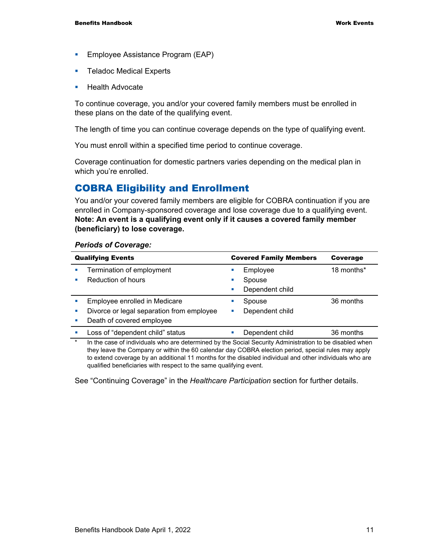- **Employee Assistance Program (EAP)**
- **Teladoc Medical Experts**
- **Health Advocate**

To continue coverage, you and/or your covered family members must be enrolled in these plans on the date of the qualifying event.

The length of time you can continue coverage depends on the type of qualifying event.

You must enroll within a specified time period to continue coverage.

Coverage continuation for domestic partners varies depending on the medical plan in which you're enrolled.

#### COBRA Eligibility and Enrollment

You and/or your covered family members are eligible for COBRA continuation if you are enrolled in Company-sponsored coverage and lose coverage due to a qualifying event. **Note: An event is a qualifying event only if it causes a covered family member (beneficiary) to lose coverage.**

#### *Periods of Coverage:*

|        | <b>Qualifying Events</b>                                                                                | <b>Covered Family Members</b> | Coverage   |
|--------|---------------------------------------------------------------------------------------------------------|-------------------------------|------------|
|        | Termination of employment                                                                               | Employee                      | 18 months* |
|        | Reduction of hours                                                                                      | Spouse                        |            |
|        |                                                                                                         | Dependent child               |            |
|        | Employee enrolled in Medicare                                                                           | Spouse                        | 36 months  |
|        | Divorce or legal separation from employee                                                               | Dependent child               |            |
|        | Death of covered employee                                                                               |                               |            |
|        | Loss of "dependent child" status                                                                        | Dependent child               | 36 months  |
| $\ast$ | In the case of individuals who are determined by the Social Security Administration to be disabled when |                               |            |

In the case of individuals who are determined by the Social Security Administration to be disabled when they leave the Company or within the 60 calendar day COBRA election period, special rules may apply to extend coverage by an additional 11 months for the disabled individual and other individuals who are qualified beneficiaries with respect to the same qualifying event.

See "Continuing Coverage" in the *Healthcare Participation* section for further details.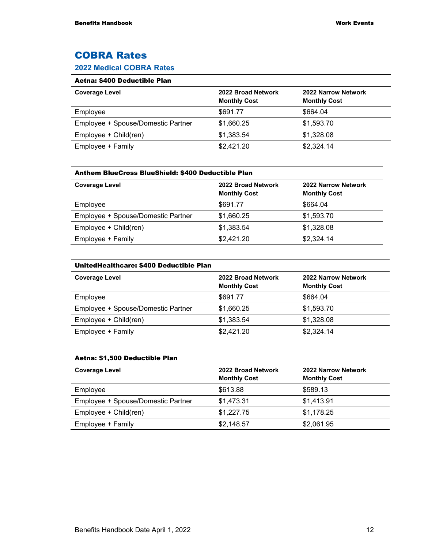### COBRA Rates

#### **2022 Medical COBRA Rates**

#### Aetna: \$400 Deductible Plan

| <b>Coverage Level</b>              | 2022 Broad Network<br><b>Monthly Cost</b> | 2022 Narrow Network<br><b>Monthly Cost</b> |
|------------------------------------|-------------------------------------------|--------------------------------------------|
| Employee                           | \$691.77                                  | \$664.04                                   |
| Employee + Spouse/Domestic Partner | \$1,660.25                                | \$1,593.70                                 |
| Employee + Child(ren)              | \$1,383.54                                | \$1,328.08                                 |
| Employee + Family                  | \$2,421.20                                | \$2,324.14                                 |

| Anthem BlueCross BlueShield: \$400 Deductible Plan |                                           |                                            |
|----------------------------------------------------|-------------------------------------------|--------------------------------------------|
| <b>Coverage Level</b>                              | 2022 Broad Network<br><b>Monthly Cost</b> | 2022 Narrow Network<br><b>Monthly Cost</b> |
| Employee                                           | \$691.77                                  | \$664.04                                   |
| Employee + Spouse/Domestic Partner                 | \$1,660.25                                | \$1,593.70                                 |
| Employee + Child(ren)                              | \$1,383.54                                | \$1,328.08                                 |
| Employee + Family                                  | \$2,421.20                                | \$2,324.14                                 |

#### UnitedHealthcare: \$400 Deductible Plan

| <b>Coverage Level</b>              | 2022 Broad Network<br><b>Monthly Cost</b> | 2022 Narrow Network<br><b>Monthly Cost</b> |
|------------------------------------|-------------------------------------------|--------------------------------------------|
| Employee                           | \$691.77                                  | \$664.04                                   |
| Employee + Spouse/Domestic Partner | \$1,660.25                                | \$1,593.70                                 |
| Employee + Child(ren)              | \$1,383.54                                | \$1,328.08                                 |
| Employee + Family                  | \$2,421.20                                | \$2,324.14                                 |

#### Aetna: \$1,500 Deductible Plan

| <b>Coverage Level</b>              | 2022 Broad Network<br><b>Monthly Cost</b> | 2022 Narrow Network<br><b>Monthly Cost</b> |
|------------------------------------|-------------------------------------------|--------------------------------------------|
| Employee                           | \$613.88                                  | \$589.13                                   |
| Employee + Spouse/Domestic Partner | \$1,473.31                                | \$1,413.91                                 |
| Employee + Child(ren)              | \$1,227.75                                | \$1,178.25                                 |
| Employee + Family                  | \$2,148.57                                | \$2,061.95                                 |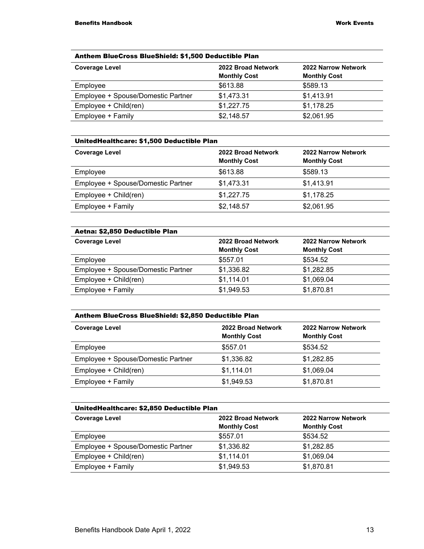#### Anthem BlueCross BlueShield: \$1,500 Deductible Plan

| <b>Coverage Level</b>              | 2022 Broad Network<br><b>Monthly Cost</b> | <b>2022 Narrow Network</b><br><b>Monthly Cost</b> |
|------------------------------------|-------------------------------------------|---------------------------------------------------|
| Employee                           | \$613.88                                  | \$589.13                                          |
| Employee + Spouse/Domestic Partner | \$1,473.31                                | \$1,413.91                                        |
| Employee + Child(ren)              | \$1,227.75                                | \$1,178.25                                        |
| Employee + Family                  | \$2,148.57                                | \$2,061.95                                        |

#### UnitedHealthcare: \$1,500 Deductible Plan

| <b>Coverage Level</b>              | 2022 Broad Network<br><b>Monthly Cost</b> | 2022 Narrow Network<br><b>Monthly Cost</b> |
|------------------------------------|-------------------------------------------|--------------------------------------------|
| Employee                           | \$613.88                                  | \$589.13                                   |
| Employee + Spouse/Domestic Partner | \$1,473.31                                | \$1,413.91                                 |
| Employee + Child(ren)              | \$1,227.75                                | \$1,178.25                                 |
| Employee + Family                  | \$2,148.57                                | \$2,061.95                                 |

| 2022 Broad Network  | 2022 Narrow Network |
|---------------------|---------------------|
| <b>Monthly Cost</b> | <b>Monthly Cost</b> |
| \$557.01            | \$534.52            |
| \$1,336.82          | \$1,282.85          |
| \$1,114.01          | \$1,069.04          |
| \$1,949.53          | \$1,870.81          |
|                     |                     |

#### Anthem BlueCross BlueShield: \$2,850 Deductible Plan

| <b>Coverage Level</b>              | 2022 Broad Network<br><b>Monthly Cost</b> | 2022 Narrow Network<br><b>Monthly Cost</b> |
|------------------------------------|-------------------------------------------|--------------------------------------------|
| Employee                           | \$557.01                                  | \$534.52                                   |
| Employee + Spouse/Domestic Partner | \$1,336.82                                | \$1,282.85                                 |
| Employee + Child(ren)              | \$1,114.01                                | \$1,069.04                                 |
| Employee + Family                  | \$1,949.53                                | \$1,870.81                                 |

#### UnitedHealthcare: \$2,850 Deductible Plan

| <b>Coverage Level</b>              | 2022 Broad Network<br><b>Monthly Cost</b> | <b>2022 Narrow Network</b><br><b>Monthly Cost</b> |
|------------------------------------|-------------------------------------------|---------------------------------------------------|
| Employee                           | \$557.01                                  | \$534.52                                          |
| Employee + Spouse/Domestic Partner | \$1,336.82                                | \$1,282.85                                        |
| Employee + Child(ren)              | \$1,114.01                                | \$1,069.04                                        |
| Employee + Family                  | \$1,949.53                                | \$1,870.81                                        |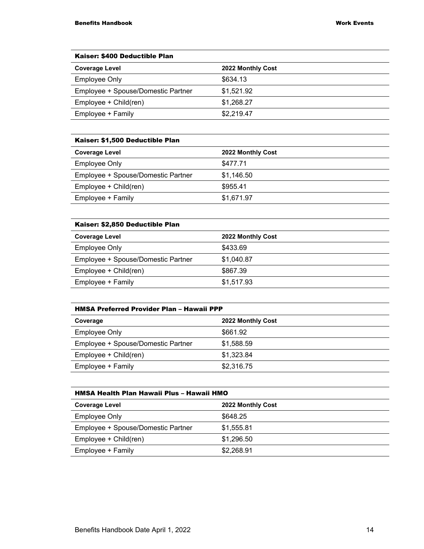| Kaiser: \$400 Deductible Plan      |                   |
|------------------------------------|-------------------|
| <b>Coverage Level</b>              | 2022 Monthly Cost |
| Employee Only                      | \$634.13          |
| Employee + Spouse/Domestic Partner | \$1,521.92        |
| Employee + Child(ren)              | \$1,268.27        |
| Employee + Family                  | \$2,219.47        |

| Kaiser: \$1,500 Deductible Plan |                   |
|---------------------------------|-------------------|
| <b>Coverage Level</b>           | 2022 Monthly Cost |
| <b>Employee Only</b>            | \$477.71          |

| LITTPIOYGG OTHY                    | <b>UTII.II</b> |
|------------------------------------|----------------|
| Employee + Spouse/Domestic Partner | \$1.146.50     |
| Employee + Child(ren)              | \$955.41       |
| Employee + Family                  | \$1.671.97     |

#### Kaiser: \$2,850 Deductible Plan

| <b>Coverage Level</b>              | 2022 Monthly Cost |
|------------------------------------|-------------------|
| <b>Employee Only</b>               | \$433.69          |
| Employee + Spouse/Domestic Partner | \$1,040.87        |
| Employee + Child(ren)              | \$867.39          |
| Employee + Family                  | \$1,517.93        |
|                                    |                   |

#### HMSA Preferred Provider Plan – Hawaii PPP

| Coverage                           | 2022 Monthly Cost |
|------------------------------------|-------------------|
| Employee Only                      | \$661.92          |
| Employee + Spouse/Domestic Partner | \$1.588.59        |
| Employee + Child(ren)              | \$1,323.84        |
| Employee + Family                  | \$2,316.75        |

| HMSA Health Plan Hawaii Plus - Hawaii HMO |                   |  |
|-------------------------------------------|-------------------|--|
| <b>Coverage Level</b>                     | 2022 Monthly Cost |  |
| Employee Only                             | \$648.25          |  |
| Employee + Spouse/Domestic Partner        | \$1,555.81        |  |
| Employee + Child(ren)                     | \$1,296.50        |  |
| Employee + Family                         | \$2,268.91        |  |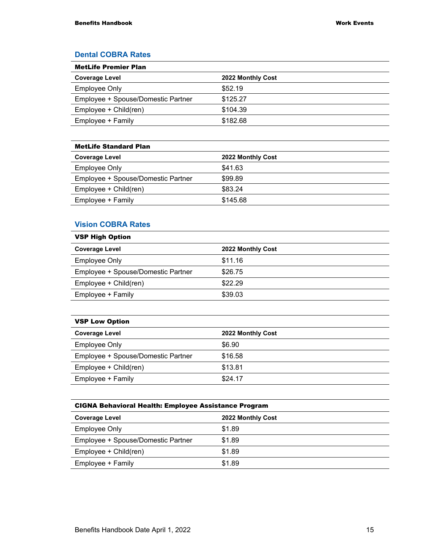#### **Dental COBRA Rates**

| <b>MetLife Premier Plan</b>        |                   |
|------------------------------------|-------------------|
| <b>Coverage Level</b>              | 2022 Monthly Cost |
| <b>Employee Only</b>               | \$52.19           |
| Employee + Spouse/Domestic Partner | \$125.27          |
| Employee + Child(ren)              | \$104.39          |
| Employee + Family                  | \$182.68          |

| <b>MetLife Standard Plan</b>       |                   |
|------------------------------------|-------------------|
| <b>Coverage Level</b>              | 2022 Monthly Cost |
| Employee Only                      | \$41.63           |
| Employee + Spouse/Domestic Partner | \$99.89           |
| Employee + Child(ren)              | \$83.24           |
| Employee + Family                  | \$145.68          |

#### **Vision COBRA Rates**

| <b>VSP High Option</b>             |                   |  |
|------------------------------------|-------------------|--|
| <b>Coverage Level</b>              | 2022 Monthly Cost |  |
| Employee Only                      | \$11.16           |  |
| Employee + Spouse/Domestic Partner | \$26.75           |  |
| Employee + Child(ren)              | \$22.29           |  |
| Employee + Family                  | \$39.03           |  |
|                                    |                   |  |

|  | <b>VSP Low Option</b> |
|--|-----------------------|
|  |                       |

| <b>Coverage Level</b>              | 2022 Monthly Cost |
|------------------------------------|-------------------|
| Employee Only                      | \$6.90            |
| Employee + Spouse/Domestic Partner | \$16.58           |
| Employee + Child(ren)              | \$13.81           |
| Employee + Family                  | \$24.17           |
|                                    |                   |

| <b>Coverage Level</b>              | 2022 Monthly Cost |
|------------------------------------|-------------------|
| Employee Only                      | \$1.89            |
| Employee + Spouse/Domestic Partner | \$1.89            |
| Employee + Child(ren)              | \$1.89            |
| Employee + Family                  | \$1.89            |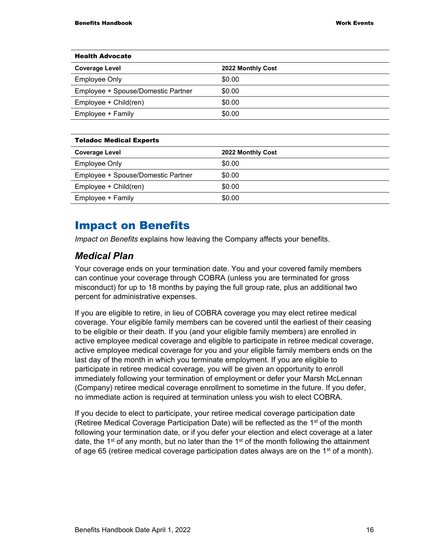| <b>Health Advocate</b>             |                   |  |  |
|------------------------------------|-------------------|--|--|
| <b>Coverage Level</b>              | 2022 Monthly Cost |  |  |
| <b>Employee Only</b>               | \$0.00            |  |  |
| Employee + Spouse/Domestic Partner | \$0.00            |  |  |
| Employee + Child(ren)              | \$0.00            |  |  |
| Employee + Family                  | \$0.00            |  |  |

| <b>Teladoc Medical Experts</b>     |                   |  |  |
|------------------------------------|-------------------|--|--|
| <b>Coverage Level</b>              | 2022 Monthly Cost |  |  |
| <b>Employee Only</b>               | \$0.00            |  |  |
| Employee + Spouse/Domestic Partner | \$0.00            |  |  |
| Employee + Child(ren)              | \$0.00            |  |  |
| Employee + Family                  | \$0.00            |  |  |

### Impact on Benefits

*Impact on Benefits* explains how leaving the Company affects your benefits.

#### *Medical Plan*

Your coverage ends on your termination date. You and your covered family members can continue your coverage through COBRA (unless you are terminated for gross misconduct) for up to 18 months by paying the full group rate, plus an additional two percent for administrative expenses.

If you are eligible to retire, in lieu of COBRA coverage you may elect retiree medical coverage. Your eligible family members can be covered until the earliest of their ceasing to be eligible or their death. If you (and your eligible family members) are enrolled in active employee medical coverage and eligible to participate in retiree medical coverage, active employee medical coverage for you and your eligible family members ends on the last day of the month in which you terminate employment. If you are eligible to participate in retiree medical coverage, you will be given an opportunity to enroll immediately following your termination of employment or defer your Marsh McLennan (Company) retiree medical coverage enrollment to sometime in the future. If you defer, no immediate action is required at termination unless you wish to elect COBRA.

If you decide to elect to participate, your retiree medical coverage participation date (Retiree Medical Coverage Participation Date) will be reflected as the 1<sup>st</sup> of the month following your termination date, or if you defer your election and elect coverage at a later date, the 1<sup>st</sup> of any month, but no later than the 1<sup>st</sup> of the month following the attainment of age 65 (retiree medical coverage participation dates always are on the 1<sup>st</sup> of a month).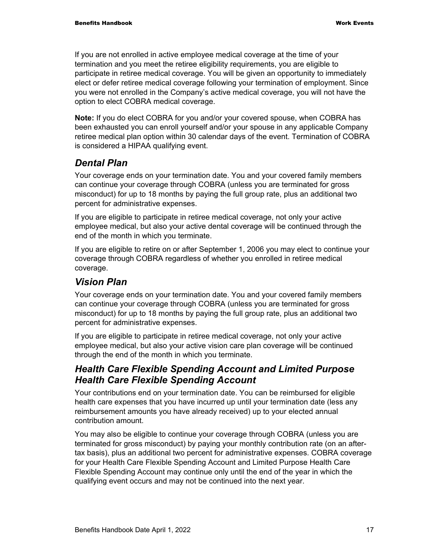If you are not enrolled in active employee medical coverage at the time of your termination and you meet the retiree eligibility requirements, you are eligible to participate in retiree medical coverage. You will be given an opportunity to immediately elect or defer retiree medical coverage following your termination of employment. Since you were not enrolled in the Company's active medical coverage, you will not have the option to elect COBRA medical coverage.

**Note:** If you do elect COBRA for you and/or your covered spouse, when COBRA has been exhausted you can enroll yourself and/or your spouse in any applicable Company retiree medical plan option within 30 calendar days of the event. Termination of COBRA is considered a HIPAA qualifying event.

### *Dental Plan*

Your coverage ends on your termination date. You and your covered family members can continue your coverage through COBRA (unless you are terminated for gross misconduct) for up to 18 months by paying the full group rate, plus an additional two percent for administrative expenses.

If you are eligible to participate in retiree medical coverage, not only your active employee medical, but also your active dental coverage will be continued through the end of the month in which you terminate.

If you are eligible to retire on or after September 1, 2006 you may elect to continue your coverage through COBRA regardless of whether you enrolled in retiree medical coverage.

### *Vision Plan*

Your coverage ends on your termination date. You and your covered family members can continue your coverage through COBRA (unless you are terminated for gross misconduct) for up to 18 months by paying the full group rate, plus an additional two percent for administrative expenses.

If you are eligible to participate in retiree medical coverage, not only your active employee medical, but also your active vision care plan coverage will be continued through the end of the month in which you terminate.

#### *Health Care Flexible Spending Account and Limited Purpose Health Care Flexible Spending Account*

Your contributions end on your termination date. You can be reimbursed for eligible health care expenses that you have incurred up until your termination date (less any reimbursement amounts you have already received) up to your elected annual contribution amount.

You may also be eligible to continue your coverage through COBRA (unless you are terminated for gross misconduct) by paying your monthly contribution rate (on an aftertax basis), plus an additional two percent for administrative expenses. COBRA coverage for your Health Care Flexible Spending Account and Limited Purpose Health Care Flexible Spending Account may continue only until the end of the year in which the qualifying event occurs and may not be continued into the next year.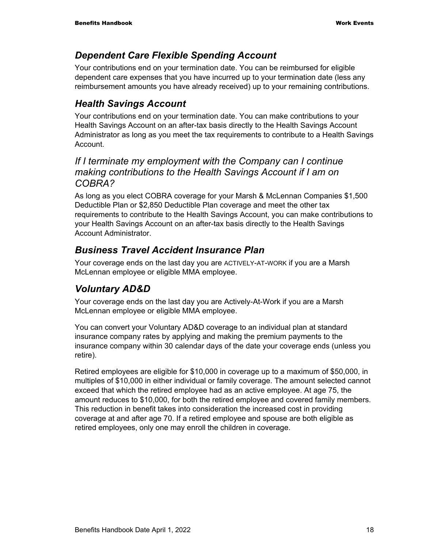#### *Dependent Care Flexible Spending Account*

Your contributions end on your termination date. You can be reimbursed for eligible dependent care expenses that you have incurred up to your termination date (less any reimbursement amounts you have already received) up to your remaining contributions.

#### *Health Savings Account*

Your contributions end on your termination date. You can make contributions to your Health Savings Account on an after-tax basis directly to the Health Savings Account Administrator as long as you meet the tax requirements to contribute to a Health Savings Account.

#### *If I terminate my employment with the Company can I continue making contributions to the Health Savings Account if I am on COBRA?*

As long as you elect COBRA coverage for your Marsh & McLennan Companies \$1,500 Deductible Plan or \$2,850 Deductible Plan coverage and meet the other tax requirements to contribute to the Health Savings Account, you can make contributions to your Health Savings Account on an after-tax basis directly to the Health Savings Account Administrator.

### *Business Travel Accident Insurance Plan*

Your coverage ends on the last day you are ACTIVELY-AT-WORK if you are a Marsh McLennan employee or eligible MMA employee.

### *Voluntary AD&D*

Your coverage ends on the last day you are Actively-At-Work if you are a Marsh McLennan employee or eligible MMA employee.

You can convert your Voluntary AD&D coverage to an individual plan at standard insurance company rates by applying and making the premium payments to the insurance company within 30 calendar days of the date your coverage ends (unless you retire).

Retired employees are eligible for \$10,000 in coverage up to a maximum of \$50,000, in multiples of \$10,000 in either individual or family coverage. The amount selected cannot exceed that which the retired employee had as an active employee. At age 75, the amount reduces to \$10,000, for both the retired employee and covered family members. This reduction in benefit takes into consideration the increased cost in providing coverage at and after age 70. If a retired employee and spouse are both eligible as retired employees, only one may enroll the children in coverage.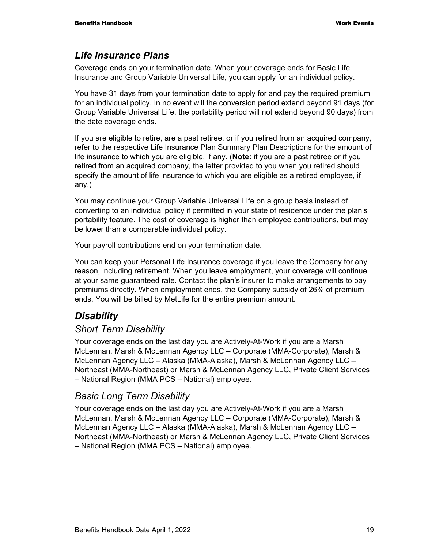#### *Life Insurance Plans*

Coverage ends on your termination date. When your coverage ends for Basic Life Insurance and Group Variable Universal Life, you can apply for an individual policy.

You have 31 days from your termination date to apply for and pay the required premium for an individual policy. In no event will the conversion period extend beyond 91 days (for Group Variable Universal Life, the portability period will not extend beyond 90 days) from the date coverage ends.

If you are eligible to retire, are a past retiree, or if you retired from an acquired company, refer to the respective Life Insurance Plan Summary Plan Descriptions for the amount of life insurance to which you are eligible, if any. (**Note:** if you are a past retiree or if you retired from an acquired company, the letter provided to you when you retired should specify the amount of life insurance to which you are eligible as a retired employee, if any.)

You may continue your Group Variable Universal Life on a group basis instead of converting to an individual policy if permitted in your state of residence under the plan's portability feature. The cost of coverage is higher than employee contributions, but may be lower than a comparable individual policy.

Your payroll contributions end on your termination date.

You can keep your Personal Life Insurance coverage if you leave the Company for any reason, including retirement. When you leave employment, your coverage will continue at your same guaranteed rate. Contact the plan's insurer to make arrangements to pay premiums directly. When employment ends, the Company subsidy of 26% of premium ends. You will be billed by MetLife for the entire premium amount.

#### *Disability*

#### *Short Term Disability*

Your coverage ends on the last day you are Actively-At-Work if you are a Marsh McLennan, Marsh & McLennan Agency LLC – Corporate (MMA-Corporate), Marsh & McLennan Agency LLC – Alaska (MMA-Alaska), Marsh & McLennan Agency LLC – Northeast (MMA-Northeast) or Marsh & McLennan Agency LLC, Private Client Services – National Region (MMA PCS – National) employee.

#### *Basic Long Term Disability*

Your coverage ends on the last day you are Actively-At-Work if you are a Marsh McLennan, Marsh & McLennan Agency LLC – Corporate (MMA-Corporate), Marsh & McLennan Agency LLC – Alaska (MMA-Alaska), Marsh & McLennan Agency LLC – Northeast (MMA-Northeast) or Marsh & McLennan Agency LLC, Private Client Services – National Region (MMA PCS – National) employee.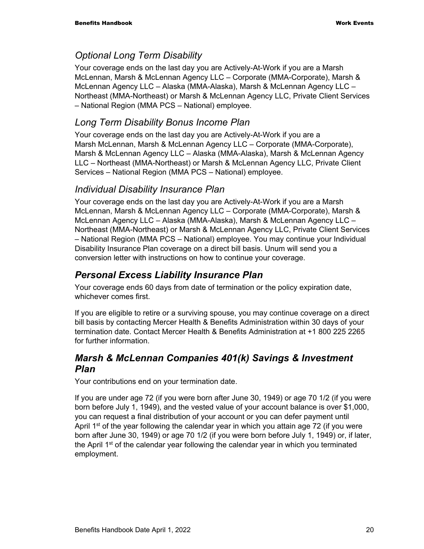#### *Optional Long Term Disability*

Your coverage ends on the last day you are Actively-At-Work if you are a Marsh McLennan, Marsh & McLennan Agency LLC – Corporate (MMA-Corporate), Marsh & McLennan Agency LLC – Alaska (MMA-Alaska), Marsh & McLennan Agency LLC – Northeast (MMA-Northeast) or Marsh & McLennan Agency LLC, Private Client Services – National Region (MMA PCS – National) employee.

#### *Long Term Disability Bonus Income Plan*

Your coverage ends on the last day you are Actively-At-Work if you are a Marsh McLennan, Marsh & McLennan Agency LLC – Corporate (MMA-Corporate), Marsh & McLennan Agency LLC – Alaska (MMA-Alaska), Marsh & McLennan Agency LLC – Northeast (MMA-Northeast) or Marsh & McLennan Agency LLC, Private Client Services – National Region (MMA PCS – National) employee.

#### *Individual Disability Insurance Plan*

Your coverage ends on the last day you are Actively-At-Work if you are a Marsh McLennan, Marsh & McLennan Agency LLC – Corporate (MMA-Corporate), Marsh & McLennan Agency LLC – Alaska (MMA-Alaska), Marsh & McLennan Agency LLC – Northeast (MMA-Northeast) or Marsh & McLennan Agency LLC, Private Client Services – National Region (MMA PCS – National) employee. You may continue your Individual Disability Insurance Plan coverage on a direct bill basis. Unum will send you a conversion letter with instructions on how to continue your coverage.

#### *Personal Excess Liability Insurance Plan*

Your coverage ends 60 days from date of termination or the policy expiration date, whichever comes first.

If you are eligible to retire or a surviving spouse, you may continue coverage on a direct bill basis by contacting Mercer Health & Benefits Administration within 30 days of your termination date. Contact Mercer Health & Benefits Administration at +1 800 225 2265 for further information.

#### *Marsh & McLennan Companies 401(k) Savings & Investment Plan*

Your contributions end on your termination date.

If you are under age 72 (if you were born after June 30, 1949) or age 70 1/2 (if you were born before July 1, 1949), and the vested value of your account balance is over \$1,000, you can request a final distribution of your account or you can defer payment until April 1<sup>st</sup> of the year following the calendar year in which you attain age 72 (if you were born after June 30, 1949) or age 70 1/2 (if you were born before July 1, 1949) or, if later, the April 1<sup>st</sup> of the calendar year following the calendar year in which you terminated employment.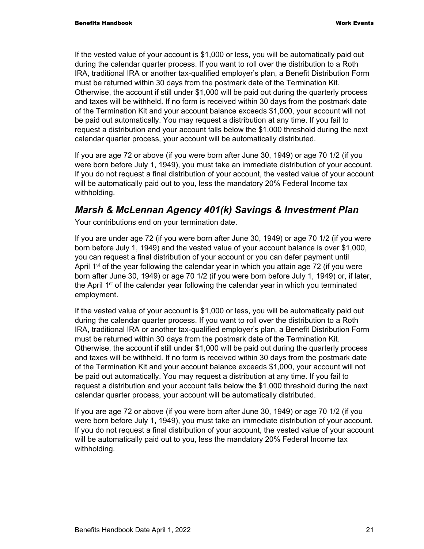If the vested value of your account is \$1,000 or less, you will be automatically paid out during the calendar quarter process. If you want to roll over the distribution to a Roth IRA, traditional IRA or another tax-qualified employer's plan, a Benefit Distribution Form must be returned within 30 days from the postmark date of the Termination Kit. Otherwise, the account if still under \$1,000 will be paid out during the quarterly process and taxes will be withheld. If no form is received within 30 days from the postmark date of the Termination Kit and your account balance exceeds \$1,000, your account will not be paid out automatically. You may request a distribution at any time. If you fail to request a distribution and your account falls below the \$1,000 threshold during the next calendar quarter process, your account will be automatically distributed.

If you are age 72 or above (if you were born after June 30, 1949) or age 70 1/2 (if you were born before July 1, 1949), you must take an immediate distribution of your account. If you do not request a final distribution of your account, the vested value of your account will be automatically paid out to you, less the mandatory 20% Federal Income tax withholding.

#### *Marsh & McLennan Agency 401(k) Savings & Investment Plan*

Your contributions end on your termination date.

If you are under age 72 (if you were born after June 30, 1949) or age 70 1/2 (if you were born before July 1, 1949) and the vested value of your account balance is over \$1,000, you can request a final distribution of your account or you can defer payment until April  $1<sup>st</sup>$  of the year following the calendar year in which you attain age 72 (if you were born after June 30, 1949) or age 70 1/2 (if you were born before July 1, 1949) or, if later, the April  $1<sup>st</sup>$  of the calendar year following the calendar year in which you terminated employment.

If the vested value of your account is \$1,000 or less, you will be automatically paid out during the calendar quarter process. If you want to roll over the distribution to a Roth IRA, traditional IRA or another tax-qualified employer's plan, a Benefit Distribution Form must be returned within 30 days from the postmark date of the Termination Kit. Otherwise, the account if still under \$1,000 will be paid out during the quarterly process and taxes will be withheld. If no form is received within 30 days from the postmark date of the Termination Kit and your account balance exceeds \$1,000, your account will not be paid out automatically. You may request a distribution at any time. If you fail to request a distribution and your account falls below the \$1,000 threshold during the next calendar quarter process, your account will be automatically distributed.

If you are age 72 or above (if you were born after June 30, 1949) or age 70 1/2 (if you were born before July 1, 1949), you must take an immediate distribution of your account. If you do not request a final distribution of your account, the vested value of your account will be automatically paid out to you, less the mandatory 20% Federal Income tax withholding.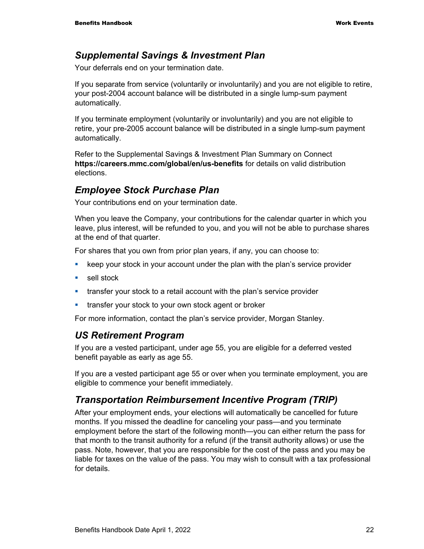#### *Supplemental Savings & Investment Plan*

Your deferrals end on your termination date.

If you separate from service (voluntarily or involuntarily) and you are not eligible to retire, your post-2004 account balance will be distributed in a single lump-sum payment automatically.

If you terminate employment (voluntarily or involuntarily) and you are not eligible to retire, your pre-2005 account balance will be distributed in a single lump-sum payment automatically.

Refer to the Supplemental Savings & Investment Plan Summary on Connect **https://careers.mmc.com/global/en/us-benefits** for details on valid distribution elections.

#### *Employee Stock Purchase Plan*

Your contributions end on your termination date.

When you leave the Company, your contributions for the calendar quarter in which you leave, plus interest, will be refunded to you, and you will not be able to purchase shares at the end of that quarter.

For shares that you own from prior plan years, if any, you can choose to:

- keep your stock in your account under the plan with the plan's service provider
- **sell stock**
- **transfer your stock to a retail account with the plan's service provider**
- **transfer your stock to your own stock agent or broker**

For more information, contact the plan's service provider, Morgan Stanley.

#### *US Retirement Program*

If you are a vested participant, under age 55, you are eligible for a deferred vested benefit payable as early as age 55.

If you are a vested participant age 55 or over when you terminate employment, you are eligible to commence your benefit immediately.

#### *Transportation Reimbursement Incentive Program (TRIP)*

After your employment ends, your elections will automatically be cancelled for future months. If you missed the deadline for canceling your pass—and you terminate employment before the start of the following month—you can either return the pass for that month to the transit authority for a refund (if the transit authority allows) or use the pass. Note, however, that you are responsible for the cost of the pass and you may be liable for taxes on the value of the pass. You may wish to consult with a tax professional for details.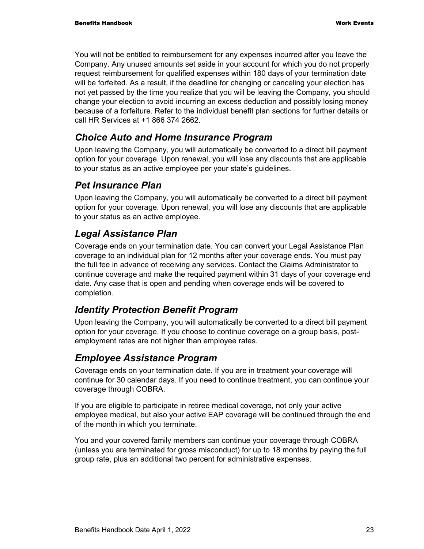You will not be entitled to reimbursement for any expenses incurred after you leave the Company. Any unused amounts set aside in your account for which you do not properly request reimbursement for qualified expenses within 180 days of your termination date will be forfeited. As a result, if the deadline for changing or canceling your election has not yet passed by the time you realize that you will be leaving the Company, you should change your election to avoid incurring an excess deduction and possibly losing money because of a forfeiture. Refer to the individual benefit plan sections for further details or call HR Services at +1 866 374 2662.

#### *Choice Auto and Home Insurance Program*

Upon leaving the Company, you will automatically be converted to a direct bill payment option for your coverage. Upon renewal, you will lose any discounts that are applicable to your status as an active employee per your state's guidelines.

#### *Pet Insurance Plan*

Upon leaving the Company, you will automatically be converted to a direct bill payment option for your coverage. Upon renewal, you will lose any discounts that are applicable to your status as an active employee.

### *Legal Assistance Plan*

Coverage ends on your termination date. You can convert your Legal Assistance Plan coverage to an individual plan for 12 months after your coverage ends. You must pay the full fee in advance of receiving any services. Contact the Claims Administrator to continue coverage and make the required payment within 31 days of your coverage end date. Any case that is open and pending when coverage ends will be covered to completion.

#### *Identity Protection Benefit Program*

Upon leaving the Company, you will automatically be converted to a direct bill payment option for your coverage. If you choose to continue coverage on a group basis, postemployment rates are not higher than employee rates.

### *Employee Assistance Program*

Coverage ends on your termination date. If you are in treatment your coverage will continue for 30 calendar days. If you need to continue treatment, you can continue your coverage through COBRA.

If you are eligible to participate in retiree medical coverage, not only your active employee medical, but also your active EAP coverage will be continued through the end of the month in which you terminate.

You and your covered family members can continue your coverage through COBRA (unless you are terminated for gross misconduct) for up to 18 months by paying the full group rate, plus an additional two percent for administrative expenses.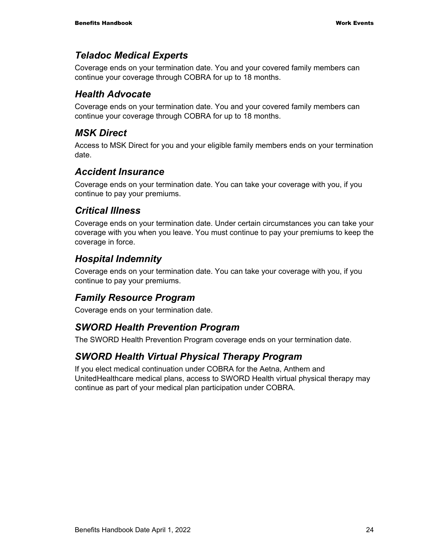#### *Teladoc Medical Experts*

Coverage ends on your termination date. You and your covered family members can continue your coverage through COBRA for up to 18 months.

#### *Health Advocate*

Coverage ends on your termination date. You and your covered family members can continue your coverage through COBRA for up to 18 months.

#### *MSK Direct*

Access to MSK Direct for you and your eligible family members ends on your termination date.

#### *Accident Insurance*

Coverage ends on your termination date. You can take your coverage with you, if you continue to pay your premiums.

#### *Critical Illness*

Coverage ends on your termination date. Under certain circumstances you can take your coverage with you when you leave. You must continue to pay your premiums to keep the coverage in force.

#### *Hospital Indemnity*

Coverage ends on your termination date. You can take your coverage with you, if you continue to pay your premiums.

#### *Family Resource Program*

Coverage ends on your termination date.

### *SWORD Health Prevention Program*

The SWORD Health Prevention Program coverage ends on your termination date.

### *SWORD Health Virtual Physical Therapy Program*

If you elect medical continuation under COBRA for the Aetna, Anthem and UnitedHealthcare medical plans, access to SWORD Health virtual physical therapy may continue as part of your medical plan participation under COBRA.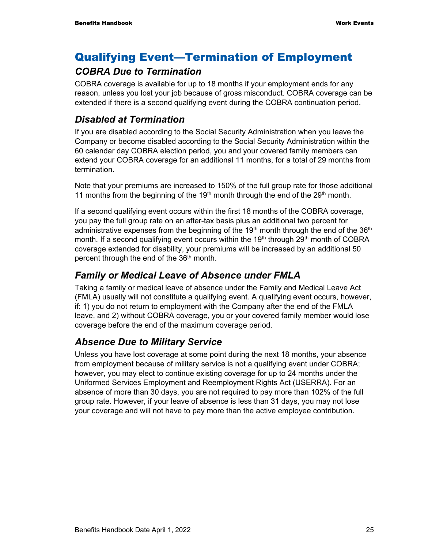## Qualifying Event—Termination of Employment

#### *COBRA Due to Termination*

COBRA coverage is available for up to 18 months if your employment ends for any reason, unless you lost your job because of gross misconduct. COBRA coverage can be extended if there is a second qualifying event during the COBRA continuation period.

#### *Disabled at Termination*

If you are disabled according to the Social Security Administration when you leave the Company or become disabled according to the Social Security Administration within the 60 calendar day COBRA election period, you and your covered family members can extend your COBRA coverage for an additional 11 months, for a total of 29 months from termination.

Note that your premiums are increased to 150% of the full group rate for those additional 11 months from the beginning of the 19<sup>th</sup> month through the end of the 29<sup>th</sup> month.

If a second qualifying event occurs within the first 18 months of the COBRA coverage, you pay the full group rate on an after-tax basis plus an additional two percent for administrative expenses from the beginning of the 19<sup>th</sup> month through the end of the  $36<sup>th</sup>$ month. If a second qualifying event occurs within the  $19<sup>th</sup>$  through 29<sup>th</sup> month of COBRA coverage extended for disability, your premiums will be increased by an additional 50 percent through the end of the 36th month.

#### *Family or Medical Leave of Absence under FMLA*

Taking a family or medical leave of absence under the Family and Medical Leave Act (FMLA) usually will not constitute a qualifying event. A qualifying event occurs, however, if: 1) you do not return to employment with the Company after the end of the FMLA leave, and 2) without COBRA coverage, you or your covered family member would lose coverage before the end of the maximum coverage period.

### *Absence Due to Military Service*

Unless you have lost coverage at some point during the next 18 months, your absence from employment because of military service is not a qualifying event under COBRA; however, you may elect to continue existing coverage for up to 24 months under the Uniformed Services Employment and Reemployment Rights Act (USERRA). For an absence of more than 30 days, you are not required to pay more than 102% of the full group rate. However, if your leave of absence is less than 31 days, you may not lose your coverage and will not have to pay more than the active employee contribution.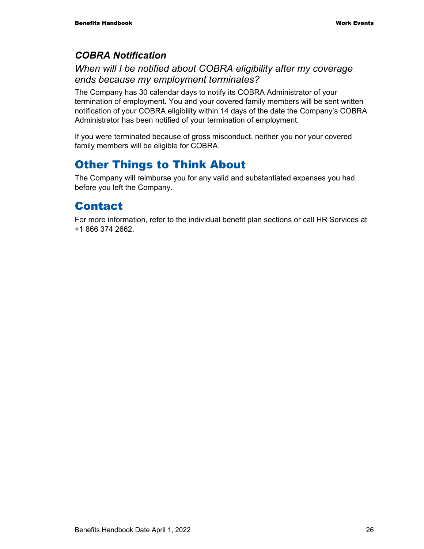#### *COBRA Notification*

#### *When will I be notified about COBRA eligibility after my coverage ends because my employment terminates?*

The Company has 30 calendar days to notify its COBRA Administrator of your termination of employment. You and your covered family members will be sent written notification of your COBRA eligibility within 14 days of the date the Company's COBRA Administrator has been notified of your termination of employment.

If you were terminated because of gross misconduct, neither you nor your covered family members will be eligible for COBRA.

## Other Things to Think About

The Company will reimburse you for any valid and substantiated expenses you had before you left the Company.

## Contact

For more information, refer to the individual benefit plan sections or call HR Services at +1 866 374 2662.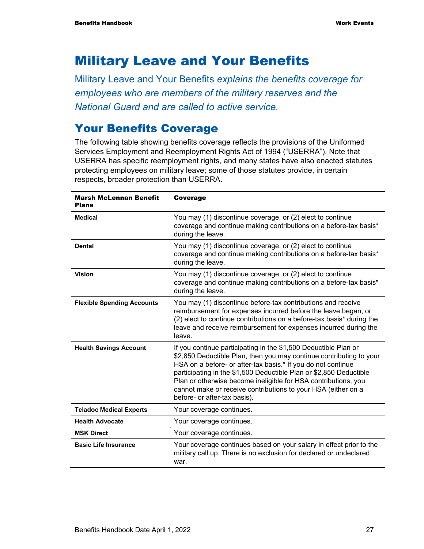## Military Leave and Your Benefits

Military Leave and Your Benefits *explains the benefits coverage for employees who are members of the military reserves and the National Guard and are called to active service.* 

### Your Benefits Coverage

The following table showing benefits coverage reflects the provisions of the Uniformed Services Employment and Reemployment Rights Act of 1994 ("USERRA"). Note that USERRA has specific reemployment rights, and many states have also enacted statutes protecting employees on military leave; some of those statutes provide, in certain respects, broader protection than USERRA.

| <b>Marsh McLennan Benefit</b><br><b>Plans</b> | <b>Coverage</b>                                                                                                                                                                                                                                                                                                                                                                                                                                 |  |
|-----------------------------------------------|-------------------------------------------------------------------------------------------------------------------------------------------------------------------------------------------------------------------------------------------------------------------------------------------------------------------------------------------------------------------------------------------------------------------------------------------------|--|
| <b>Medical</b>                                | You may (1) discontinue coverage, or (2) elect to continue<br>coverage and continue making contributions on a before-tax basis*<br>during the leave.                                                                                                                                                                                                                                                                                            |  |
| <b>Dental</b>                                 | You may (1) discontinue coverage, or (2) elect to continue<br>coverage and continue making contributions on a before-tax basis*<br>during the leave.                                                                                                                                                                                                                                                                                            |  |
| <b>Vision</b>                                 | You may (1) discontinue coverage, or (2) elect to continue<br>coverage and continue making contributions on a before-tax basis*<br>during the leave.                                                                                                                                                                                                                                                                                            |  |
| <b>Flexible Spending Accounts</b>             | You may (1) discontinue before-tax contributions and receive<br>reimbursement for expenses incurred before the leave began, or<br>(2) elect to continue contributions on a before-tax basis* during the<br>leave and receive reimbursement for expenses incurred during the<br>leave.                                                                                                                                                           |  |
| <b>Health Savings Account</b>                 | If you continue participating in the \$1,500 Deductible Plan or<br>\$2,850 Deductible Plan, then you may continue contributing to your<br>HSA on a before- or after-tax basis.* If you do not continue<br>participating in the \$1,500 Deductible Plan or \$2,850 Deductible<br>Plan or otherwise become ineligible for HSA contributions, you<br>cannot make or receive contributions to your HSA (either on a<br>before- or after-tax basis). |  |
| <b>Teladoc Medical Experts</b>                | Your coverage continues.                                                                                                                                                                                                                                                                                                                                                                                                                        |  |
| <b>Health Advocate</b>                        | Your coverage continues.                                                                                                                                                                                                                                                                                                                                                                                                                        |  |
| <b>MSK Direct</b>                             | Your coverage continues.                                                                                                                                                                                                                                                                                                                                                                                                                        |  |
| <b>Basic Life Insurance</b>                   | Your coverage continues based on your salary in effect prior to the<br>military call up. There is no exclusion for declared or undeclared<br>war.                                                                                                                                                                                                                                                                                               |  |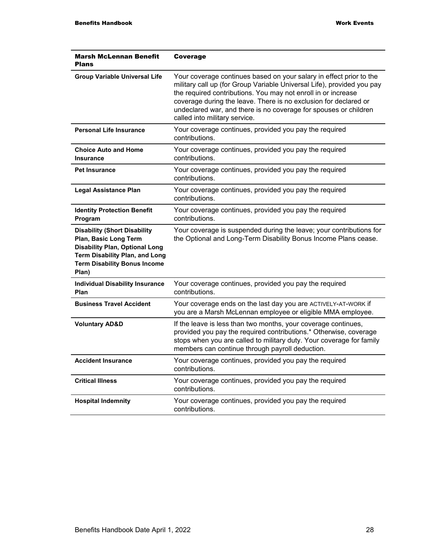| <b>Marsh McLennan Benefit</b><br><b>Plans</b>                                                                                                                                                  | Coverage                                                                                                                                                                                                                                                                                                                                                                                |
|------------------------------------------------------------------------------------------------------------------------------------------------------------------------------------------------|-----------------------------------------------------------------------------------------------------------------------------------------------------------------------------------------------------------------------------------------------------------------------------------------------------------------------------------------------------------------------------------------|
| <b>Group Variable Universal Life</b>                                                                                                                                                           | Your coverage continues based on your salary in effect prior to the<br>military call up (for Group Variable Universal Life), provided you pay<br>the required contributions. You may not enroll in or increase<br>coverage during the leave. There is no exclusion for declared or<br>undeclared war, and there is no coverage for spouses or children<br>called into military service. |
| <b>Personal Life Insurance</b>                                                                                                                                                                 | Your coverage continues, provided you pay the required<br>contributions.                                                                                                                                                                                                                                                                                                                |
| <b>Choice Auto and Home</b><br><b>Insurance</b>                                                                                                                                                | Your coverage continues, provided you pay the required<br>contributions.                                                                                                                                                                                                                                                                                                                |
| <b>Pet Insurance</b>                                                                                                                                                                           | Your coverage continues, provided you pay the required<br>contributions.                                                                                                                                                                                                                                                                                                                |
| <b>Legal Assistance Plan</b>                                                                                                                                                                   | Your coverage continues, provided you pay the required<br>contributions.                                                                                                                                                                                                                                                                                                                |
| <b>Identity Protection Benefit</b><br>Program                                                                                                                                                  | Your coverage continues, provided you pay the required<br>contributions.                                                                                                                                                                                                                                                                                                                |
| <b>Disability (Short Disability</b><br>Plan, Basic Long Term<br><b>Disability Plan, Optional Long</b><br><b>Term Disability Plan, and Long</b><br><b>Term Disability Bonus Income</b><br>Plan) | Your coverage is suspended during the leave; your contributions for<br>the Optional and Long-Term Disability Bonus Income Plans cease.                                                                                                                                                                                                                                                  |
| <b>Individual Disability Insurance</b><br>Plan                                                                                                                                                 | Your coverage continues, provided you pay the required<br>contributions.                                                                                                                                                                                                                                                                                                                |
| <b>Business Travel Accident</b>                                                                                                                                                                | Your coverage ends on the last day you are ACTIVELY-AT-WORK if<br>you are a Marsh McLennan employee or eligible MMA employee.                                                                                                                                                                                                                                                           |
| <b>Voluntary AD&amp;D</b>                                                                                                                                                                      | If the leave is less than two months, your coverage continues,<br>provided you pay the required contributions.* Otherwise, coverage<br>stops when you are called to military duty. Your coverage for family<br>members can continue through payroll deduction.                                                                                                                          |
| <b>Accident Insurance</b>                                                                                                                                                                      | Your coverage continues, provided you pay the required<br>contributions.                                                                                                                                                                                                                                                                                                                |
| <b>Critical Illness</b>                                                                                                                                                                        | Your coverage continues, provided you pay the required<br>contributions.                                                                                                                                                                                                                                                                                                                |
| <b>Hospital Indemnity</b>                                                                                                                                                                      | Your coverage continues, provided you pay the required<br>contributions.                                                                                                                                                                                                                                                                                                                |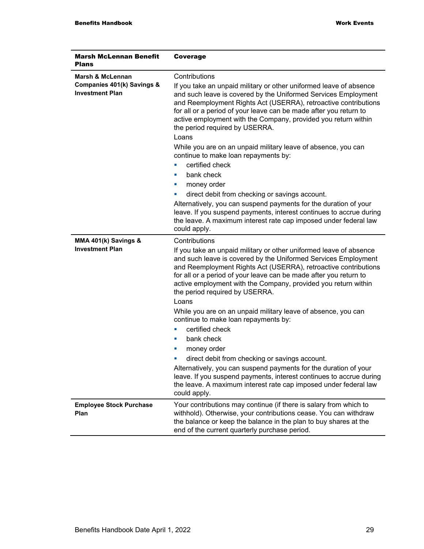| <b>Marsh McLennan Benefit</b><br><b>Plans</b>        | <b>Coverage</b>                                                                                                                                                                                                                                                                                                                                                                  |  |
|------------------------------------------------------|----------------------------------------------------------------------------------------------------------------------------------------------------------------------------------------------------------------------------------------------------------------------------------------------------------------------------------------------------------------------------------|--|
| Marsh & McLennan                                     | Contributions                                                                                                                                                                                                                                                                                                                                                                    |  |
| Companies 401(k) Savings &<br><b>Investment Plan</b> | If you take an unpaid military or other uniformed leave of absence<br>and such leave is covered by the Uniformed Services Employment<br>and Reemployment Rights Act (USERRA), retroactive contributions<br>for all or a period of your leave can be made after you return to<br>active employment with the Company, provided you return within<br>the period required by USERRA. |  |
|                                                      | Loans                                                                                                                                                                                                                                                                                                                                                                            |  |
|                                                      | While you are on an unpaid military leave of absence, you can<br>continue to make loan repayments by:                                                                                                                                                                                                                                                                            |  |
|                                                      | certified check<br>$\mathcal{L}_{\mathcal{A}}$                                                                                                                                                                                                                                                                                                                                   |  |
|                                                      | bank check                                                                                                                                                                                                                                                                                                                                                                       |  |
|                                                      | money order                                                                                                                                                                                                                                                                                                                                                                      |  |
|                                                      | direct debit from checking or savings account.                                                                                                                                                                                                                                                                                                                                   |  |
|                                                      | Alternatively, you can suspend payments for the duration of your<br>leave. If you suspend payments, interest continues to accrue during<br>the leave. A maximum interest rate cap imposed under federal law<br>could apply.                                                                                                                                                      |  |
| MMA 401(k) Savings &                                 | Contributions                                                                                                                                                                                                                                                                                                                                                                    |  |
| <b>Investment Plan</b>                               | If you take an unpaid military or other uniformed leave of absence<br>and such leave is covered by the Uniformed Services Employment<br>and Reemployment Rights Act (USERRA), retroactive contributions<br>for all or a period of your leave can be made after you return to<br>active employment with the Company, provided you return within<br>the period required by USERRA. |  |
|                                                      | Loans                                                                                                                                                                                                                                                                                                                                                                            |  |
|                                                      | While you are on an unpaid military leave of absence, you can<br>continue to make loan repayments by:                                                                                                                                                                                                                                                                            |  |
|                                                      | certified check                                                                                                                                                                                                                                                                                                                                                                  |  |
|                                                      | bank check<br>п                                                                                                                                                                                                                                                                                                                                                                  |  |
|                                                      | money order                                                                                                                                                                                                                                                                                                                                                                      |  |
|                                                      | direct debit from checking or savings account.                                                                                                                                                                                                                                                                                                                                   |  |
|                                                      | Alternatively, you can suspend payments for the duration of your<br>leave. If you suspend payments, interest continues to accrue during<br>the leave. A maximum interest rate cap imposed under federal law<br>could apply.                                                                                                                                                      |  |
| <b>Employee Stock Purchase</b><br>Plan               | Your contributions may continue (if there is salary from which to<br>withhold). Otherwise, your contributions cease. You can withdraw<br>the balance or keep the balance in the plan to buy shares at the<br>end of the current quarterly purchase period.                                                                                                                       |  |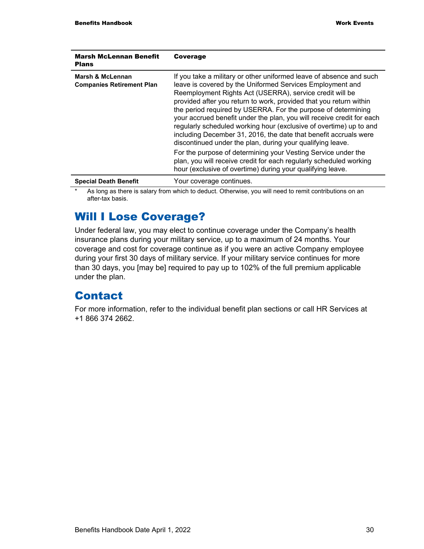| <b>Marsh McLennan Benefit</b><br><b>Plans</b>        | Coverage                                                                                                                                                                                                                                                                                                                                                                                                                                                                                                                                                                                                                                                                                                                                                                                                                  |
|------------------------------------------------------|---------------------------------------------------------------------------------------------------------------------------------------------------------------------------------------------------------------------------------------------------------------------------------------------------------------------------------------------------------------------------------------------------------------------------------------------------------------------------------------------------------------------------------------------------------------------------------------------------------------------------------------------------------------------------------------------------------------------------------------------------------------------------------------------------------------------------|
| Marsh & McLennan<br><b>Companies Retirement Plan</b> | If you take a military or other uniformed leave of absence and such<br>leave is covered by the Uniformed Services Employment and<br>Reemployment Rights Act (USERRA), service credit will be<br>provided after you return to work, provided that you return within<br>the period required by USERRA. For the purpose of determining<br>your accrued benefit under the plan, you will receive credit for each<br>regularly scheduled working hour (exclusive of overtime) up to and<br>including December 31, 2016, the date that benefit accruals were<br>discontinued under the plan, during your qualifying leave.<br>For the purpose of determining your Vesting Service under the<br>plan, you will receive credit for each regularly scheduled working<br>hour (exclusive of overtime) during your qualifying leave. |
| <b>Special Death Benefit</b>                         | Your coverage continues.                                                                                                                                                                                                                                                                                                                                                                                                                                                                                                                                                                                                                                                                                                                                                                                                  |

As long as there is salary from which to deduct. Otherwise, you will need to remit contributions on an after-tax basis.

## Will I Lose Coverage?

Under federal law, you may elect to continue coverage under the Company's health insurance plans during your military service, up to a maximum of 24 months. Your coverage and cost for coverage continue as if you were an active Company employee during your first 30 days of military service. If your military service continues for more than 30 days, you [may be] required to pay up to 102% of the full premium applicable under the plan.

## Contact

For more information, refer to the individual benefit plan sections or call HR Services at +1 866 374 2662.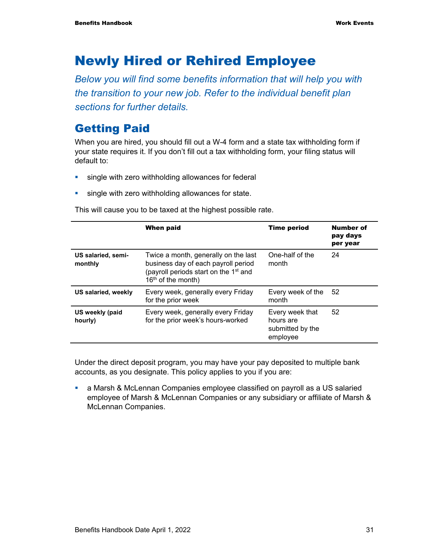## Newly Hired or Rehired Employee

*Below you will find some benefits information that will help you with the transition to your new job. Refer to the individual benefit plan sections for further details.* 

### Getting Paid

When you are hired, you should fill out a W-4 form and a state tax withholding form if your state requires it. If you don't fill out a tax withholding form, your filing status will default to:

- single with zero withholding allowances for federal
- **single with zero withholding allowances for state.**

This will cause you to be taxed at the highest possible rate.

|                               | <b>When paid</b>                                                                                                                                         | <b>Time period</b>                                           | Number of<br>pay days<br>per year |
|-------------------------------|----------------------------------------------------------------------------------------------------------------------------------------------------------|--------------------------------------------------------------|-----------------------------------|
| US salaried, semi-<br>monthly | Twice a month, generally on the last<br>business day of each payroll period<br>(payroll periods start on the 1 <sup>st</sup> and<br>$16th$ of the month) | One-half of the<br>month                                     | 24                                |
| US salaried, weekly           | Every week, generally every Friday<br>for the prior week                                                                                                 | Every week of the<br>month                                   | -52                               |
| US weekly (paid<br>hourly)    | Every week, generally every Friday<br>for the prior week's hours-worked                                                                                  | Every week that<br>hours are<br>submitted by the<br>employee | 52                                |

Under the direct deposit program, you may have your pay deposited to multiple bank accounts, as you designate. This policy applies to you if you are:

 a Marsh & McLennan Companies employee classified on payroll as a US salaried employee of Marsh & McLennan Companies or any subsidiary or affiliate of Marsh & McLennan Companies.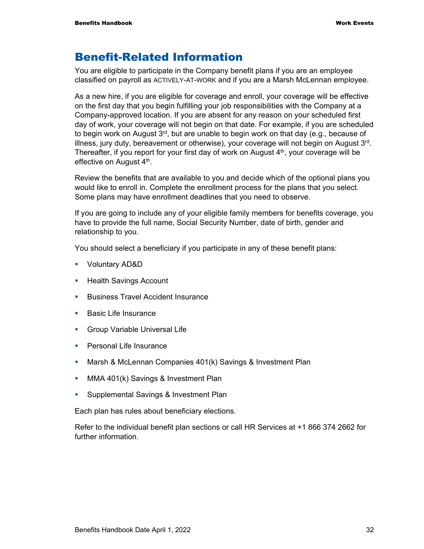### Benefit-Related Information

You are eligible to participate in the Company benefit plans if you are an employee classified on payroll as ACTIVELY-AT-WORK and if you are a Marsh McLennan employee.

As a new hire, if you are eligible for coverage and enroll, your coverage will be effective on the first day that you begin fulfilling your job responsibilities with the Company at a Company-approved location. If you are absent for any reason on your scheduled first day of work, your coverage will not begin on that date. For example, if you are scheduled to begin work on August 3<sup>rd</sup>, but are unable to begin work on that day (e.g., because of illness, jury duty, bereavement or otherwise), your coverage will not begin on August 3rd. Thereafter, if you report for your first day of work on August  $4<sup>th</sup>$ , your coverage will be effective on August 4<sup>th</sup>.

Review the benefits that are available to you and decide which of the optional plans you would like to enroll in. Complete the enrollment process for the plans that you select. Some plans may have enrollment deadlines that you need to observe.

If you are going to include any of your eligible family members for benefits coverage, you have to provide the full name, Social Security Number, date of birth, gender and relationship to you.

You should select a beneficiary if you participate in any of these benefit plans:

- Voluntary AD&D
- **Health Savings Account**
- **Business Travel Accident Insurance**
- **Basic Life Insurance**
- **Group Variable Universal Life**
- **Personal Life Insurance**
- **Marsh & McLennan Companies 401(k) Savings & Investment Plan**
- **MMA 401(k) Savings & Investment Plan**
- **Supplemental Savings & Investment Plan**

Each plan has rules about beneficiary elections.

Refer to the individual benefit plan sections or call HR Services at +1 866 374 2662 for further information.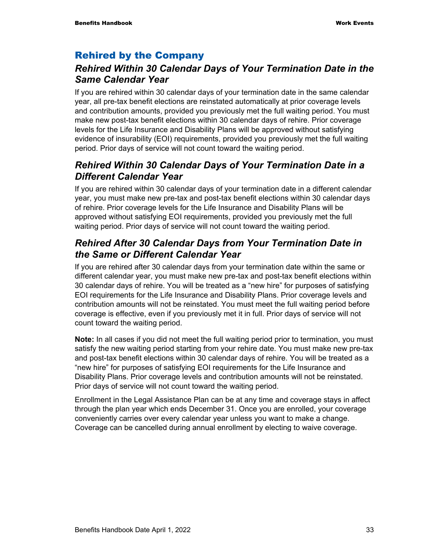#### Rehired by the Company

#### *Rehired Within 30 Calendar Days of Your Termination Date in the Same Calendar Year*

If you are rehired within 30 calendar days of your termination date in the same calendar year, all pre-tax benefit elections are reinstated automatically at prior coverage levels and contribution amounts, provided you previously met the full waiting period. You must make new post-tax benefit elections within 30 calendar days of rehire. Prior coverage levels for the Life Insurance and Disability Plans will be approved without satisfying evidence of insurability (EOI) requirements, provided you previously met the full waiting period. Prior days of service will not count toward the waiting period.

#### *Rehired Within 30 Calendar Days of Your Termination Date in a Different Calendar Year*

If you are rehired within 30 calendar days of your termination date in a different calendar year, you must make new pre-tax and post-tax benefit elections within 30 calendar days of rehire. Prior coverage levels for the Life Insurance and Disability Plans will be approved without satisfying EOI requirements, provided you previously met the full waiting period. Prior days of service will not count toward the waiting period.

#### *Rehired After 30 Calendar Days from Your Termination Date in the Same or Different Calendar Year*

If you are rehired after 30 calendar days from your termination date within the same or different calendar year, you must make new pre-tax and post-tax benefit elections within 30 calendar days of rehire. You will be treated as a "new hire" for purposes of satisfying EOI requirements for the Life Insurance and Disability Plans. Prior coverage levels and contribution amounts will not be reinstated. You must meet the full waiting period before coverage is effective, even if you previously met it in full. Prior days of service will not count toward the waiting period.

**Note:** In all cases if you did not meet the full waiting period prior to termination, you must satisfy the new waiting period starting from your rehire date. You must make new pre-tax and post-tax benefit elections within 30 calendar days of rehire. You will be treated as a "new hire" for purposes of satisfying EOI requirements for the Life Insurance and Disability Plans. Prior coverage levels and contribution amounts will not be reinstated. Prior days of service will not count toward the waiting period.

Enrollment in the Legal Assistance Plan can be at any time and coverage stays in affect through the plan year which ends December 31. Once you are enrolled, your coverage conveniently carries over every calendar year unless you want to make a change. Coverage can be cancelled during annual enrollment by electing to waive coverage.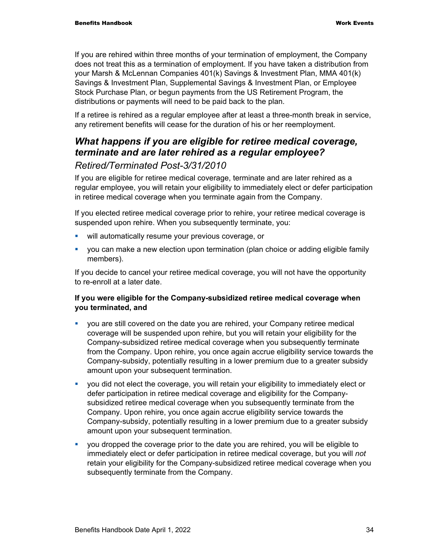If you are rehired within three months of your termination of employment, the Company does not treat this as a termination of employment. If you have taken a distribution from your Marsh & McLennan Companies 401(k) Savings & Investment Plan, MMA 401(k) Savings & Investment Plan, Supplemental Savings & Investment Plan, or Employee Stock Purchase Plan, or begun payments from the US Retirement Program, the distributions or payments will need to be paid back to the plan.

If a retiree is rehired as a regular employee after at least a three-month break in service, any retirement benefits will cease for the duration of his or her reemployment.

### *What happens if you are eligible for retiree medical coverage, terminate and are later rehired as a regular employee?*

#### *Retired/Terminated Post-3/31/2010*

If you are eligible for retiree medical coverage, terminate and are later rehired as a regular employee, you will retain your eligibility to immediately elect or defer participation in retiree medical coverage when you terminate again from the Company.

If you elected retiree medical coverage prior to rehire, your retiree medical coverage is suspended upon rehire. When you subsequently terminate, you:

- **will automatically resume your previous coverage, or**
- you can make a new election upon termination (plan choice or adding eligible family members).

If you decide to cancel your retiree medical coverage, you will not have the opportunity to re-enroll at a later date.

#### **If you were eligible for the Company-subsidized retiree medical coverage when you terminated, and**

- you are still covered on the date you are rehired, your Company retiree medical coverage will be suspended upon rehire, but you will retain your eligibility for the Company-subsidized retiree medical coverage when you subsequently terminate from the Company. Upon rehire, you once again accrue eligibility service towards the Company-subsidy, potentially resulting in a lower premium due to a greater subsidy amount upon your subsequent termination.
- you did not elect the coverage, you will retain your eligibility to immediately elect or defer participation in retiree medical coverage and eligibility for the Companysubsidized retiree medical coverage when you subsequently terminate from the Company. Upon rehire, you once again accrue eligibility service towards the Company-subsidy, potentially resulting in a lower premium due to a greater subsidy amount upon your subsequent termination.
- you dropped the coverage prior to the date you are rehired, you will be eligible to immediately elect or defer participation in retiree medical coverage, but you will *not* retain your eligibility for the Company-subsidized retiree medical coverage when you subsequently terminate from the Company.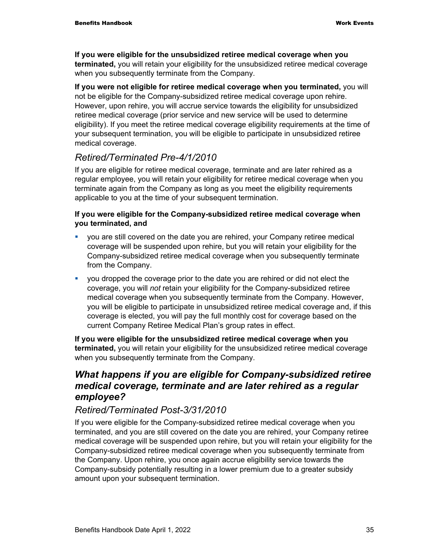**If you were eligible for the unsubsidized retiree medical coverage when you terminated,** you will retain your eligibility for the unsubsidized retiree medical coverage when you subsequently terminate from the Company.

**If you were not eligible for retiree medical coverage when you terminated,** you will not be eligible for the Company-subsidized retiree medical coverage upon rehire. However, upon rehire, you will accrue service towards the eligibility for unsubsidized retiree medical coverage (prior service and new service will be used to determine eligibility). If you meet the retiree medical coverage eligibility requirements at the time of your subsequent termination, you will be eligible to participate in unsubsidized retiree medical coverage.

#### *Retired/Terminated Pre-4/1/2010*

If you are eligible for retiree medical coverage, terminate and are later rehired as a regular employee, you will retain your eligibility for retiree medical coverage when you terminate again from the Company as long as you meet the eligibility requirements applicable to you at the time of your subsequent termination.

#### **If you were eligible for the Company-subsidized retiree medical coverage when you terminated, and**

- you are still covered on the date you are rehired, your Company retiree medical coverage will be suspended upon rehire, but you will retain your eligibility for the Company-subsidized retiree medical coverage when you subsequently terminate from the Company.
- you dropped the coverage prior to the date you are rehired or did not elect the coverage, you will *not* retain your eligibility for the Company-subsidized retiree medical coverage when you subsequently terminate from the Company. However, you will be eligible to participate in unsubsidized retiree medical coverage and, if this coverage is elected, you will pay the full monthly cost for coverage based on the current Company Retiree Medical Plan's group rates in effect.

**If you were eligible for the unsubsidized retiree medical coverage when you terminated,** you will retain your eligibility for the unsubsidized retiree medical coverage when you subsequently terminate from the Company.

#### *What happens if you are eligible for Company-subsidized retiree medical coverage, terminate and are later rehired as a regular employee?*

#### *Retired/Terminated Post-3/31/2010*

If you were eligible for the Company-subsidized retiree medical coverage when you terminated, and you are still covered on the date you are rehired, your Company retiree medical coverage will be suspended upon rehire, but you will retain your eligibility for the Company-subsidized retiree medical coverage when you subsequently terminate from the Company. Upon rehire, you once again accrue eligibility service towards the Company-subsidy potentially resulting in a lower premium due to a greater subsidy amount upon your subsequent termination.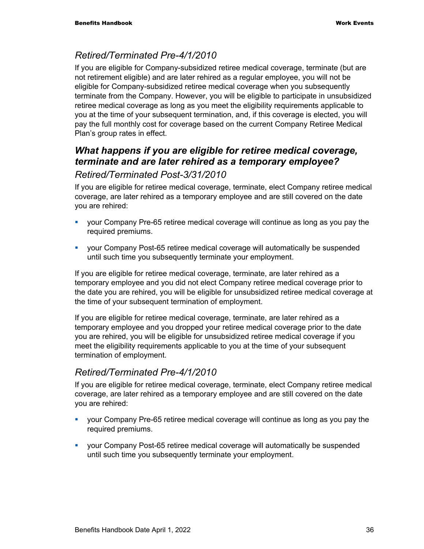#### *Retired/Terminated Pre-4/1/2010*

If you are eligible for Company-subsidized retiree medical coverage, terminate (but are not retirement eligible) and are later rehired as a regular employee, you will not be eligible for Company-subsidized retiree medical coverage when you subsequently terminate from the Company. However, you will be eligible to participate in unsubsidized retiree medical coverage as long as you meet the eligibility requirements applicable to you at the time of your subsequent termination, and, if this coverage is elected, you will pay the full monthly cost for coverage based on the current Company Retiree Medical Plan's group rates in effect.

## *What happens if you are eligible for retiree medical coverage, terminate and are later rehired as a temporary employee?*

#### *Retired/Terminated Post-3/31/2010*

If you are eligible for retiree medical coverage, terminate, elect Company retiree medical coverage, are later rehired as a temporary employee and are still covered on the date you are rehired:

- your Company Pre-65 retiree medical coverage will continue as long as you pay the required premiums.
- your Company Post-65 retiree medical coverage will automatically be suspended until such time you subsequently terminate your employment.

If you are eligible for retiree medical coverage, terminate, are later rehired as a temporary employee and you did not elect Company retiree medical coverage prior to the date you are rehired, you will be eligible for unsubsidized retiree medical coverage at the time of your subsequent termination of employment.

If you are eligible for retiree medical coverage, terminate, are later rehired as a temporary employee and you dropped your retiree medical coverage prior to the date you are rehired, you will be eligible for unsubsidized retiree medical coverage if you meet the eligibility requirements applicable to you at the time of your subsequent termination of employment.

#### *Retired/Terminated Pre-4/1/2010*

If you are eligible for retiree medical coverage, terminate, elect Company retiree medical coverage, are later rehired as a temporary employee and are still covered on the date you are rehired:

- your Company Pre-65 retiree medical coverage will continue as long as you pay the required premiums.
- your Company Post-65 retiree medical coverage will automatically be suspended until such time you subsequently terminate your employment.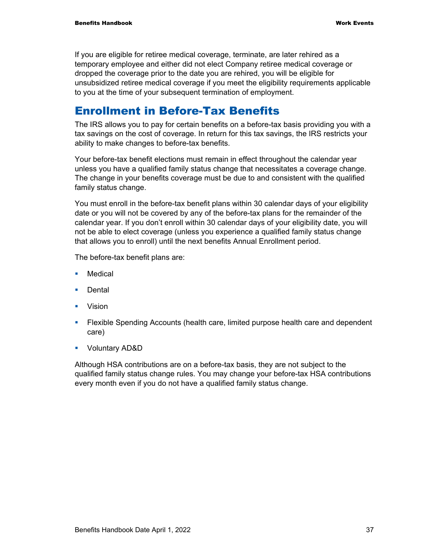If you are eligible for retiree medical coverage, terminate, are later rehired as a temporary employee and either did not elect Company retiree medical coverage or dropped the coverage prior to the date you are rehired, you will be eligible for unsubsidized retiree medical coverage if you meet the eligibility requirements applicable to you at the time of your subsequent termination of employment.

### Enrollment in Before-Tax Benefits

The IRS allows you to pay for certain benefits on a before-tax basis providing you with a tax savings on the cost of coverage. In return for this tax savings, the IRS restricts your ability to make changes to before-tax benefits.

Your before-tax benefit elections must remain in effect throughout the calendar year unless you have a qualified family status change that necessitates a coverage change. The change in your benefits coverage must be due to and consistent with the qualified family status change.

You must enroll in the before-tax benefit plans within 30 calendar days of your eligibility date or you will not be covered by any of the before-tax plans for the remainder of the calendar year. If you don't enroll within 30 calendar days of your eligibility date, you will not be able to elect coverage (unless you experience a qualified family status change that allows you to enroll) until the next benefits Annual Enrollment period.

The before-tax benefit plans are:

- **Medical**
- **Dental**
- **v** Vision
- **Filexible Spending Accounts (health care, limited purpose health care and dependent** care)
- Voluntary AD&D

Although HSA contributions are on a before-tax basis, they are not subject to the qualified family status change rules. You may change your before-tax HSA contributions every month even if you do not have a qualified family status change.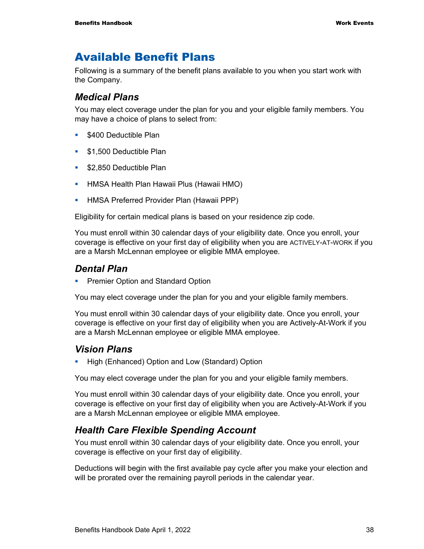### Available Benefit Plans

Following is a summary of the benefit plans available to you when you start work with the Company.

#### *Medical Plans*

You may elect coverage under the plan for you and your eligible family members. You may have a choice of plans to select from:

- **5400 Deductible Plan**
- **51,500 Deductible Plan**
- **\$2,850 Deductible Plan**
- **-** HMSA Health Plan Hawaii Plus (Hawaii HMO)
- **-** HMSA Preferred Provider Plan (Hawaii PPP)

Eligibility for certain medical plans is based on your residence zip code.

You must enroll within 30 calendar days of your eligibility date. Once you enroll, your coverage is effective on your first day of eligibility when you are ACTIVELY-AT-WORK if you are a Marsh McLennan employee or eligible MMA employee.

#### *Dental Plan*

**Premier Option and Standard Option** 

You may elect coverage under the plan for you and your eligible family members.

You must enroll within 30 calendar days of your eligibility date. Once you enroll, your coverage is effective on your first day of eligibility when you are Actively-At-Work if you are a Marsh McLennan employee or eligible MMA employee.

#### *Vision Plans*

**-** High (Enhanced) Option and Low (Standard) Option

You may elect coverage under the plan for you and your eligible family members.

You must enroll within 30 calendar days of your eligibility date. Once you enroll, your coverage is effective on your first day of eligibility when you are Actively-At-Work if you are a Marsh McLennan employee or eligible MMA employee.

#### *Health Care Flexible Spending Account*

You must enroll within 30 calendar days of your eligibility date. Once you enroll, your coverage is effective on your first day of eligibility.

Deductions will begin with the first available pay cycle after you make your election and will be prorated over the remaining payroll periods in the calendar year.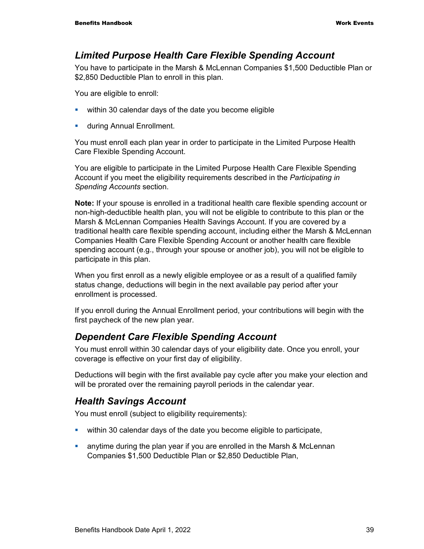#### *Limited Purpose Health Care Flexible Spending Account*

You have to participate in the Marsh & McLennan Companies \$1,500 Deductible Plan or \$2,850 Deductible Plan to enroll in this plan.

You are eligible to enroll:

- **Within 30 calendar days of the date you become eligible**
- **u.** during Annual Enrollment.

You must enroll each plan year in order to participate in the Limited Purpose Health Care Flexible Spending Account.

You are eligible to participate in the Limited Purpose Health Care Flexible Spending Account if you meet the eligibility requirements described in the *Participating in Spending Accounts* section.

**Note:** If your spouse is enrolled in a traditional health care flexible spending account or non-high-deductible health plan, you will not be eligible to contribute to this plan or the Marsh & McLennan Companies Health Savings Account. If you are covered by a traditional health care flexible spending account, including either the Marsh & McLennan Companies Health Care Flexible Spending Account or another health care flexible spending account (e.g., through your spouse or another job), you will not be eligible to participate in this plan.

When you first enroll as a newly eligible employee or as a result of a qualified family status change, deductions will begin in the next available pay period after your enrollment is processed.

If you enroll during the Annual Enrollment period, your contributions will begin with the first paycheck of the new plan year.

#### *Dependent Care Flexible Spending Account*

You must enroll within 30 calendar days of your eligibility date. Once you enroll, your coverage is effective on your first day of eligibility.

Deductions will begin with the first available pay cycle after you make your election and will be prorated over the remaining payroll periods in the calendar year.

#### *Health Savings Account*

You must enroll (subject to eligibility requirements):

- within 30 calendar days of the date you become eligible to participate,
- anytime during the plan year if you are enrolled in the Marsh & McLennan Companies \$1,500 Deductible Plan or \$2,850 Deductible Plan,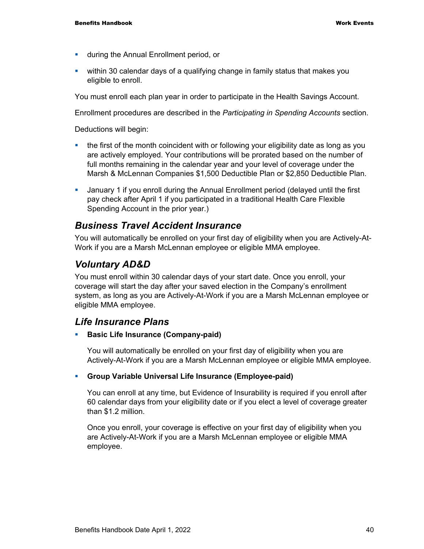- **u** during the Annual Enrollment period, or
- within 30 calendar days of a qualifying change in family status that makes you eligible to enroll.

You must enroll each plan year in order to participate in the Health Savings Account.

Enrollment procedures are described in the *Participating in Spending Accounts* section.

Deductions will begin:

- the first of the month coincident with or following your eligibility date as long as you are actively employed. Your contributions will be prorated based on the number of full months remaining in the calendar year and your level of coverage under the Marsh & McLennan Companies \$1,500 Deductible Plan or \$2,850 Deductible Plan.
- January 1 if you enroll during the Annual Enrollment period (delayed until the first pay check after April 1 if you participated in a traditional Health Care Flexible Spending Account in the prior year.)

#### *Business Travel Accident Insurance*

You will automatically be enrolled on your first day of eligibility when you are Actively-At-Work if you are a Marsh McLennan employee or eligible MMA employee.

#### *Voluntary AD&D*

You must enroll within 30 calendar days of your start date. Once you enroll, your coverage will start the day after your saved election in the Company's enrollment system, as long as you are Actively-At-Work if you are a Marsh McLennan employee or eligible MMA employee.

#### *Life Insurance Plans*

**Basic Life Insurance (Company-paid)** 

You will automatically be enrolled on your first day of eligibility when you are Actively-At-Work if you are a Marsh McLennan employee or eligible MMA employee.

#### **Group Variable Universal Life Insurance (Employee-paid)**

You can enroll at any time, but Evidence of Insurability is required if you enroll after 60 calendar days from your eligibility date or if you elect a level of coverage greater than \$1.2 million.

Once you enroll, your coverage is effective on your first day of eligibility when you are Actively-At-Work if you are a Marsh McLennan employee or eligible MMA employee.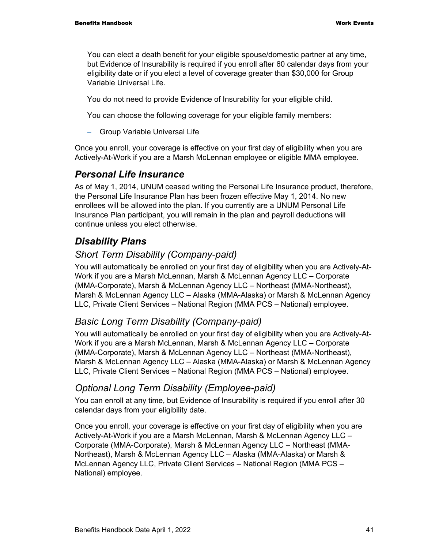You can elect a death benefit for your eligible spouse/domestic partner at any time, but Evidence of Insurability is required if you enroll after 60 calendar days from your eligibility date or if you elect a level of coverage greater than \$30,000 for Group Variable Universal Life.

You do not need to provide Evidence of Insurability for your eligible child.

You can choose the following coverage for your eligible family members:

− Group Variable Universal Life

Once you enroll, your coverage is effective on your first day of eligibility when you are Actively-At-Work if you are a Marsh McLennan employee or eligible MMA employee.

#### *Personal Life Insurance*

As of May 1, 2014, UNUM ceased writing the Personal Life Insurance product, therefore, the Personal Life Insurance Plan has been frozen effective May 1, 2014. No new enrollees will be allowed into the plan. If you currently are a UNUM Personal Life Insurance Plan participant, you will remain in the plan and payroll deductions will continue unless you elect otherwise.

### *Disability Plans*

#### *Short Term Disability (Company-paid)*

You will automatically be enrolled on your first day of eligibility when you are Actively-At-Work if you are a Marsh McLennan, Marsh & McLennan Agency LLC – Corporate (MMA-Corporate), Marsh & McLennan Agency LLC – Northeast (MMA-Northeast), Marsh & McLennan Agency LLC – Alaska (MMA-Alaska) or Marsh & McLennan Agency LLC, Private Client Services – National Region (MMA PCS – National) employee.

#### *Basic Long Term Disability (Company-paid)*

You will automatically be enrolled on your first day of eligibility when you are Actively-At-Work if you are a Marsh McLennan, Marsh & McLennan Agency LLC – Corporate (MMA-Corporate), Marsh & McLennan Agency LLC – Northeast (MMA-Northeast), Marsh & McLennan Agency LLC – Alaska (MMA-Alaska) or Marsh & McLennan Agency LLC, Private Client Services – National Region (MMA PCS – National) employee.

#### *Optional Long Term Disability (Employee-paid)*

You can enroll at any time, but Evidence of Insurability is required if you enroll after 30 calendar days from your eligibility date.

Once you enroll, your coverage is effective on your first day of eligibility when you are Actively-At-Work if you are a Marsh McLennan, Marsh & McLennan Agency LLC – Corporate (MMA-Corporate), Marsh & McLennan Agency LLC – Northeast (MMA-Northeast), Marsh & McLennan Agency LLC – Alaska (MMA-Alaska) or Marsh & McLennan Agency LLC, Private Client Services – National Region (MMA PCS – National) employee.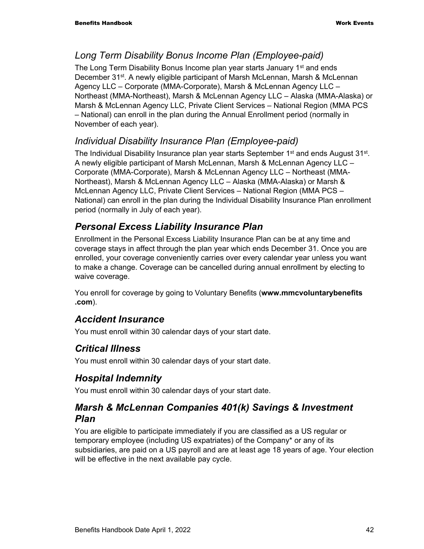#### *Long Term Disability Bonus Income Plan (Employee-paid)*

The Long Term Disability Bonus Income plan year starts January  $1<sup>st</sup>$  and ends December 31<sup>st</sup>. A newly eligible participant of Marsh McLennan, Marsh & McLennan Agency LLC – Corporate (MMA-Corporate), Marsh & McLennan Agency LLC – Northeast (MMA-Northeast), Marsh & McLennan Agency LLC – Alaska (MMA-Alaska) or Marsh & McLennan Agency LLC, Private Client Services – National Region (MMA PCS – National) can enroll in the plan during the Annual Enrollment period (normally in November of each year).

#### *Individual Disability Insurance Plan (Employee-paid)*

The Individual Disability Insurance plan year starts September 1<sup>st</sup> and ends August 31<sup>st</sup>. A newly eligible participant of Marsh McLennan, Marsh & McLennan Agency LLC – Corporate (MMA-Corporate), Marsh & McLennan Agency LLC – Northeast (MMA-Northeast), Marsh & McLennan Agency LLC – Alaska (MMA-Alaska) or Marsh & McLennan Agency LLC, Private Client Services – National Region (MMA PCS – National) can enroll in the plan during the Individual Disability Insurance Plan enrollment period (normally in July of each year).

#### *Personal Excess Liability Insurance Plan*

Enrollment in the Personal Excess Liability Insurance Plan can be at any time and coverage stays in affect through the plan year which ends December 31. Once you are enrolled, your coverage conveniently carries over every calendar year unless you want to make a change. Coverage can be cancelled during annual enrollment by electing to waive coverage.

You enroll for coverage by going to Voluntary Benefits (**www.mmcvoluntarybenefits .com**).

#### *Accident Insurance*

You must enroll within 30 calendar days of your start date.

### *Critical Illness*

You must enroll within 30 calendar days of your start date.

#### *Hospital Indemnity*

You must enroll within 30 calendar days of your start date.

#### *Marsh & McLennan Companies 401(k) Savings & Investment Plan*

You are eligible to participate immediately if you are classified as a US regular or temporary employee (including US expatriates) of the Company\* or any of its subsidiaries, are paid on a US payroll and are at least age 18 years of age. Your election will be effective in the next available pay cycle.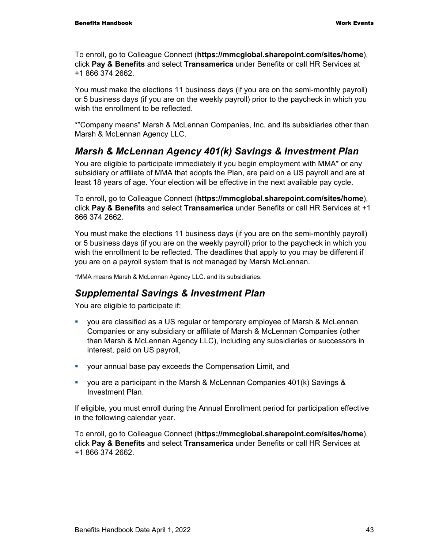To enroll, go to Colleague Connect (**https://mmcglobal.sharepoint.com/sites/home**), click **Pay & Benefits** and select **Transamerica** under Benefits or call HR Services at +1 866 374 2662.

You must make the elections 11 business days (if you are on the semi-monthly payroll) or 5 business days (if you are on the weekly payroll) prior to the paycheck in which you wish the enrollment to be reflected.

\*"Company means" Marsh & McLennan Companies, Inc. and its subsidiaries other than Marsh & McLennan Agency LLC.

#### *Marsh & McLennan Agency 401(k) Savings & Investment Plan*

You are eligible to participate immediately if you begin employment with MMA\* or any subsidiary or affiliate of MMA that adopts the Plan, are paid on a US payroll and are at least 18 years of age. Your election will be effective in the next available pay cycle.

To enroll, go to Colleague Connect (**https://mmcglobal.sharepoint.com/sites/home**), click **Pay & Benefits** and select **Transamerica** under Benefits or call HR Services at +1 866 374 2662.

You must make the elections 11 business days (if you are on the semi-monthly payroll) or 5 business days (if you are on the weekly payroll) prior to the paycheck in which you wish the enrollment to be reflected. The deadlines that apply to you may be different if you are on a payroll system that is not managed by Marsh McLennan.

\*MMA means Marsh & McLennan Agency LLC. and its subsidiaries.

#### *Supplemental Savings & Investment Plan*

You are eligible to participate if:

- you are classified as a US regular or temporary employee of Marsh & McLennan Companies or any subsidiary or affiliate of Marsh & McLennan Companies (other than Marsh & McLennan Agency LLC), including any subsidiaries or successors in interest, paid on US payroll,
- your annual base pay exceeds the Compensation Limit, and
- you are a participant in the Marsh & McLennan Companies 401(k) Savings & Investment Plan.

If eligible, you must enroll during the Annual Enrollment period for participation effective in the following calendar year.

To enroll, go to Colleague Connect (**https://mmcglobal.sharepoint.com/sites/home**), click **Pay & Benefits** and select **Transamerica** under Benefits or call HR Services at +1 866 374 2662.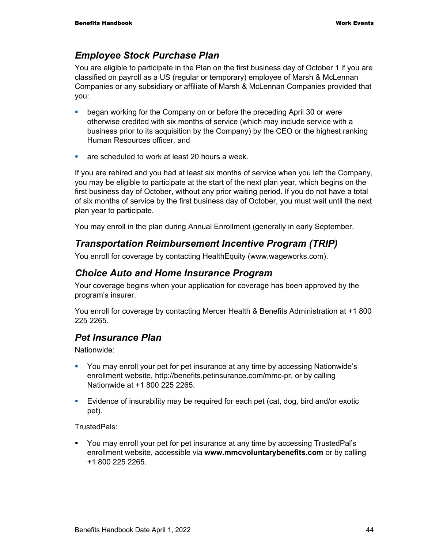#### *Employee Stock Purchase Plan*

You are eligible to participate in the Plan on the first business day of October 1 if you are classified on payroll as a US (regular or temporary) employee of Marsh & McLennan Companies or any subsidiary or affiliate of Marsh & McLennan Companies provided that you:

- **began working for the Company on or before the preceding April 30 or were** otherwise credited with six months of service (which may include service with a business prior to its acquisition by the Company) by the CEO or the highest ranking Human Resources officer, and
- **are scheduled to work at least 20 hours a week.**

If you are rehired and you had at least six months of service when you left the Company, you may be eligible to participate at the start of the next plan year, which begins on the first business day of October, without any prior waiting period. If you do not have a total of six months of service by the first business day of October, you must wait until the next plan year to participate.

You may enroll in the plan during Annual Enrollment (generally in early September.

#### *Transportation Reimbursement Incentive Program (TRIP)*

You enroll for coverage by contacting HealthEquity (www.wageworks.com).

#### *Choice Auto and Home Insurance Program*

Your coverage begins when your application for coverage has been approved by the program's insurer.

You enroll for coverage by contacting Mercer Health & Benefits Administration at +1 800 225 2265.

#### *Pet Insurance Plan*

Nationwide:

- You may enroll your pet for pet insurance at any time by accessing Nationwide's enrollment website, http://benefits.petinsurance.com/mmc-pr, or by calling Nationwide at +1 800 225 2265.
- Evidence of insurability may be required for each pet (cat, dog, bird and/or exotic pet).

TrustedPals:

 You may enroll your pet for pet insurance at any time by accessing TrustedPal's enrollment website, accessible via **www.mmcvoluntarybenefits.com** or by calling +1 800 225 2265.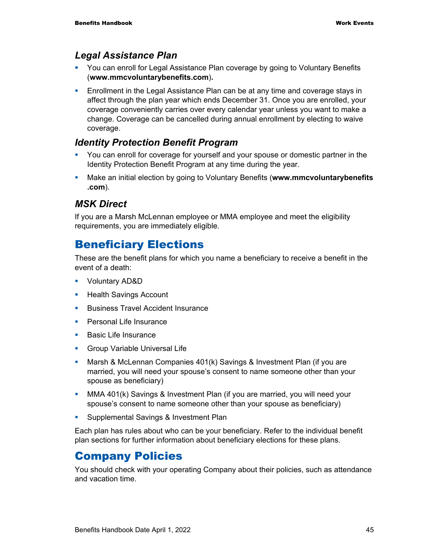#### *Legal Assistance Plan*

- You can enroll for Legal Assistance Plan coverage by going to Voluntary Benefits (**www.mmcvoluntarybenefits.com**)**.**
- **Enrollment in the Legal Assistance Plan can be at any time and coverage stays in** affect through the plan year which ends December 31. Once you are enrolled, your coverage conveniently carries over every calendar year unless you want to make a change. Coverage can be cancelled during annual enrollment by electing to waive coverage.

#### *Identity Protection Benefit Program*

- You can enroll for coverage for yourself and your spouse or domestic partner in the Identity Protection Benefit Program at any time during the year.
- Make an initial election by going to Voluntary Benefits (**www.mmcvoluntarybenefits .com**).

#### *MSK Direct*

If you are a Marsh McLennan employee or MMA employee and meet the eligibility requirements, you are immediately eligible.

## Beneficiary Elections

These are the benefit plans for which you name a beneficiary to receive a benefit in the event of a death:

- Voluntary AD&D
- **Health Savings Account**
- **Business Travel Accident Insurance**
- **Personal Life Insurance**
- **Basic Life Insurance**
- **Group Variable Universal Life**
- Marsh & McLennan Companies 401(k) Savings & Investment Plan (if you are married, you will need your spouse's consent to name someone other than your spouse as beneficiary)
- MMA 401(k) Savings & Investment Plan (if you are married, you will need your spouse's consent to name someone other than your spouse as beneficiary)
- Supplemental Savings & Investment Plan

Each plan has rules about who can be your beneficiary. Refer to the individual benefit plan sections for further information about beneficiary elections for these plans.

### Company Policies

You should check with your operating Company about their policies, such as attendance and vacation time.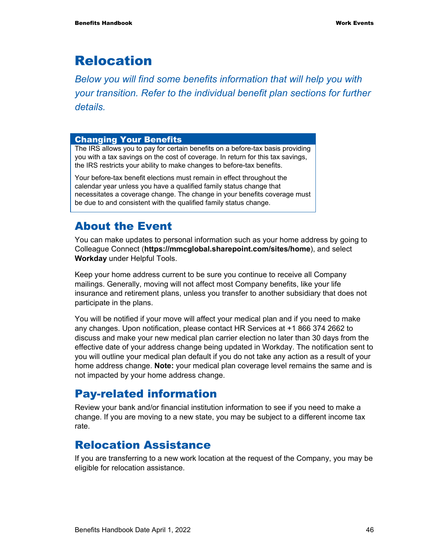## Relocation

*Below you will find some benefits information that will help you with your transition. Refer to the individual benefit plan sections for further details.* 

#### Changing Your Benefits

The IRS allows you to pay for certain benefits on a before-tax basis providing you with a tax savings on the cost of coverage. In return for this tax savings, the IRS restricts your ability to make changes to before-tax benefits.

Your before-tax benefit elections must remain in effect throughout the calendar year unless you have a qualified family status change that necessitates a coverage change. The change in your benefits coverage must be due to and consistent with the qualified family status change.

## About the Event

You can make updates to personal information such as your home address by going to Colleague Connect (**https://mmcglobal.sharepoint.com/sites/home**), and select **Workday** under Helpful Tools.

Keep your home address current to be sure you continue to receive all Company mailings. Generally, moving will not affect most Company benefits, like your life insurance and retirement plans, unless you transfer to another subsidiary that does not participate in the plans.

You will be notified if your move will affect your medical plan and if you need to make any changes. Upon notification, please contact HR Services at +1 866 374 2662 to discuss and make your new medical plan carrier election no later than 30 days from the effective date of your address change being updated in Workday. The notification sent to you will outline your medical plan default if you do not take any action as a result of your home address change. **Note:** your medical plan coverage level remains the same and is not impacted by your home address change.

### Pay-related information

Review your bank and/or financial institution information to see if you need to make a change. If you are moving to a new state, you may be subject to a different income tax rate.

## Relocation Assistance

If you are transferring to a new work location at the request of the Company, you may be eligible for relocation assistance.